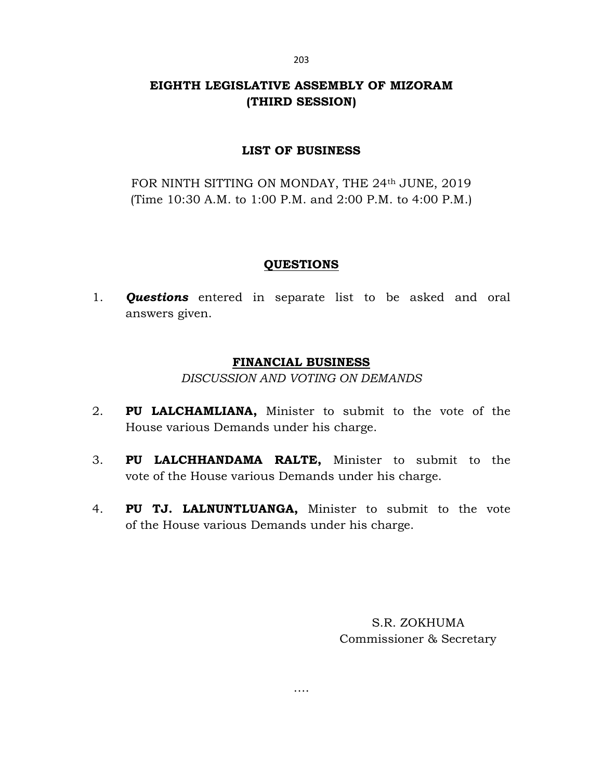# EIGHTH LEGISLATIVE ASSEMBLY OF MIZORAM (THIRD SESSION)

# LIST OF BUSINESS

FOR NINTH SITTING ON MONDAY, THE 24th JUNE, 2019 (Time 10:30 A.M. to 1:00 P.M. and 2:00 P.M. to 4:00 P.M.)

# **QUESTIONS**

1. **Questions** entered in separate list to be asked and oral answers given.

# FINANCIAL BUSINESS

DISCUSSION AND VOTING ON DEMANDS

- 2. PU LALCHAMLIANA, Minister to submit to the vote of the House various Demands under his charge.
- 3. PU LALCHHANDAMA RALTE, Minister to submit to the vote of the House various Demands under his charge.
- 4. PU TJ. LALNUNTLUANGA, Minister to submit to the vote of the House various Demands under his charge.

….

S.R. ZOKHUMA Commissioner & Secretary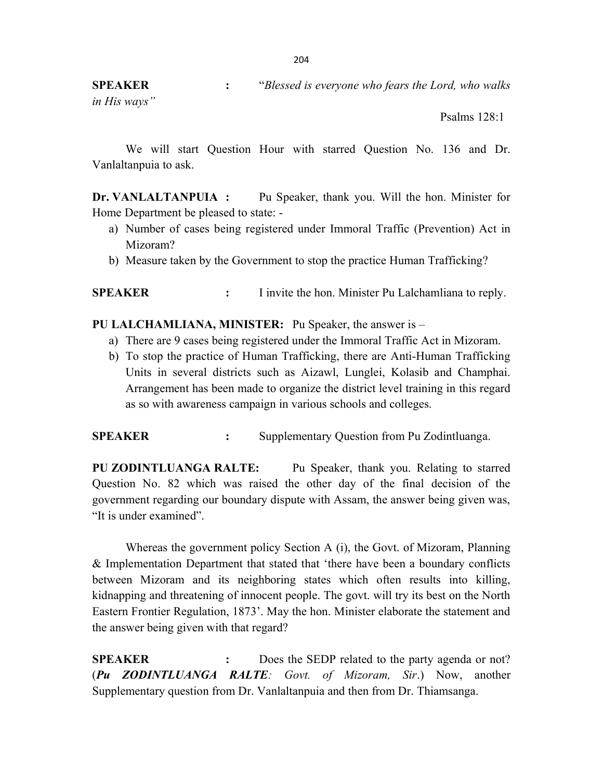SPEAKER : "Blessed is everyone who fears the Lord, who walks

in His ways"

Psalms 128:1

 We will start Question Hour with starred Question No. 136 and Dr. Vanlaltanpuia to ask.

Dr. VANLALTANPUIA : Pu Speaker, thank you. Will the hon. Minister for Home Department be pleased to state: -

- a) Number of cases being registered under Immoral Traffic (Prevention) Act in Mizoram?
- b) Measure taken by the Government to stop the practice Human Trafficking?

SPEAKER : I invite the hon. Minister Pu Lalchamliana to reply.

PU LALCHAMLIANA, MINISTER: Pu Speaker, the answer is –

- a) There are 9 cases being registered under the Immoral Traffic Act in Mizoram.
- b) To stop the practice of Human Trafficking, there are Anti-Human Trafficking Units in several districts such as Aizawl, Lunglei, Kolasib and Champhai. Arrangement has been made to organize the district level training in this regard as so with awareness campaign in various schools and colleges.

SPEAKER : Supplementary Question from Pu Zodintluanga.

PU ZODINTLUANGA RALTE: Pu Speaker, thank you. Relating to starred Question No. 82 which was raised the other day of the final decision of the government regarding our boundary dispute with Assam, the answer being given was, "It is under examined".

 Whereas the government policy Section A (i), the Govt. of Mizoram, Planning & Implementation Department that stated that 'there have been a boundary conflicts between Mizoram and its neighboring states which often results into killing, kidnapping and threatening of innocent people. The govt. will try its best on the North Eastern Frontier Regulation, 1873'. May the hon. Minister elaborate the statement and the answer being given with that regard?

SPEAKER : Does the SEDP related to the party agenda or not? (Pu ZODINTLUANGA RALTE: Govt. of Mizoram, Sir.) Now, another Supplementary question from Dr. Vanlaltanpuia and then from Dr. Thiamsanga.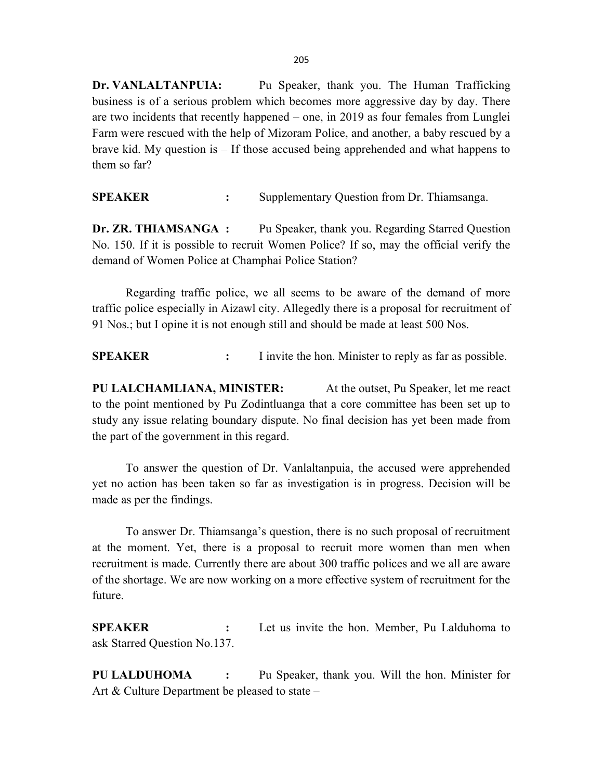Dr. VANLALTANPUIA: Pu Speaker, thank you. The Human Trafficking business is of a serious problem which becomes more aggressive day by day. There are two incidents that recently happened – one, in 2019 as four females from Lunglei Farm were rescued with the help of Mizoram Police, and another, a baby rescued by a brave kid. My question is – If those accused being apprehended and what happens to them so far?

SPEAKER : Supplementary Question from Dr. Thiamsanga.

Dr. ZR. THIAMSANGA : Pu Speaker, thank you. Regarding Starred Question No. 150. If it is possible to recruit Women Police? If so, may the official verify the demand of Women Police at Champhai Police Station?

 Regarding traffic police, we all seems to be aware of the demand of more traffic police especially in Aizawl city. Allegedly there is a proposal for recruitment of 91 Nos.; but I opine it is not enough still and should be made at least 500 Nos.

SPEAKER : I invite the hon. Minister to reply as far as possible.

PU LALCHAMLIANA, MINISTER: At the outset, Pu Speaker, let me react to the point mentioned by Pu Zodintluanga that a core committee has been set up to study any issue relating boundary dispute. No final decision has yet been made from the part of the government in this regard.

 To answer the question of Dr. Vanlaltanpuia, the accused were apprehended yet no action has been taken so far as investigation is in progress. Decision will be made as per the findings.

 To answer Dr. Thiamsanga's question, there is no such proposal of recruitment at the moment. Yet, there is a proposal to recruit more women than men when recruitment is made. Currently there are about 300 traffic polices and we all are aware of the shortage. We are now working on a more effective system of recruitment for the future.

SPEAKER : Let us invite the hon. Member, Pu Lalduhoma to ask Starred Question No.137.

PU LALDUHOMA : Pu Speaker, thank you. Will the hon. Minister for Art & Culture Department be pleased to state –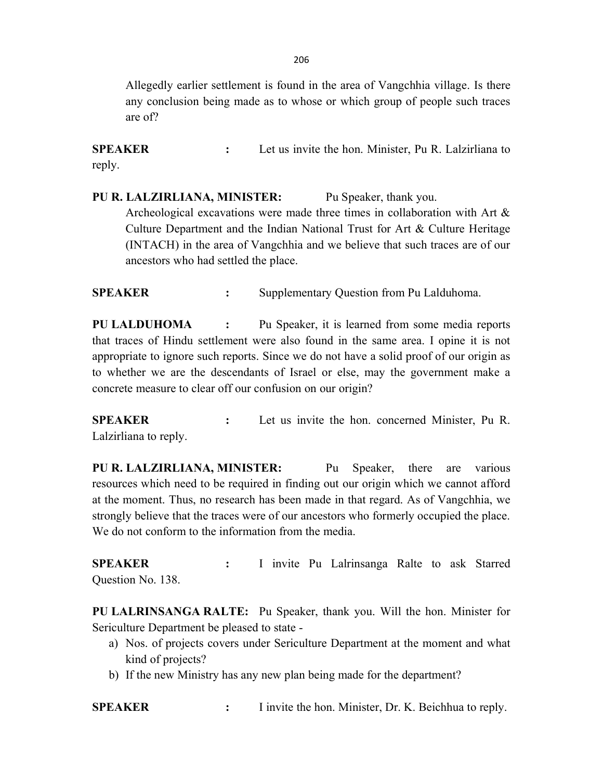Allegedly earlier settlement is found in the area of Vangchhia village. Is there any conclusion being made as to whose or which group of people such traces are of?

SPEAKER : Let us invite the hon. Minister, Pu R. Lalzirliana to reply.

PU R. LALZIRLIANA, MINISTER: Pu Speaker, thank you. Archeological excavations were made three times in collaboration with Art & Culture Department and the Indian National Trust for Art & Culture Heritage (INTACH) in the area of Vangchhia and we believe that such traces are of our ancestors who had settled the place.

SPEAKER : Supplementary Question from Pu Lalduhoma.

PU LALDUHOMA : Pu Speaker, it is learned from some media reports that traces of Hindu settlement were also found in the same area. I opine it is not appropriate to ignore such reports. Since we do not have a solid proof of our origin as to whether we are the descendants of Israel or else, may the government make a concrete measure to clear off our confusion on our origin?

SPEAKER : Let us invite the hon. concerned Minister, Pu R. Lalzirliana to reply.

PU R. LALZIRLIANA, MINISTER: Pu Speaker, there are various resources which need to be required in finding out our origin which we cannot afford at the moment. Thus, no research has been made in that regard. As of Vangchhia, we strongly believe that the traces were of our ancestors who formerly occupied the place. We do not conform to the information from the media.

SPEAKER : I invite Pu Lalrinsanga Ralte to ask Starred Question No. 138.

PU LALRINSANGA RALTE: Pu Speaker, thank you. Will the hon. Minister for Sericulture Department be pleased to state -

- a) Nos. of projects covers under Sericulture Department at the moment and what kind of projects?
- b) If the new Ministry has any new plan being made for the department?

SPEAKER : I invite the hon. Minister, Dr. K. Beichhua to reply.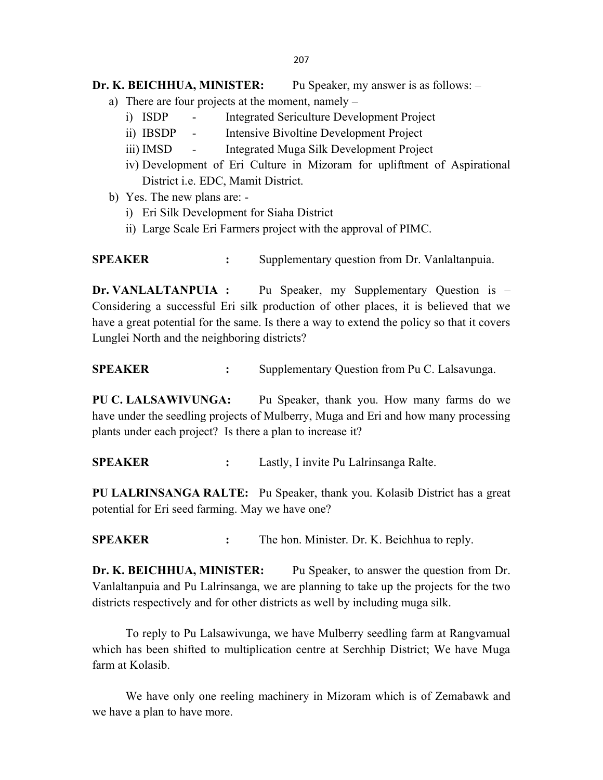## Dr. K. BEICHHUA, MINISTER: Pu Speaker, my answer is as follows: -

- a) There are four projects at the moment, namely
	- i) ISDP Integrated Sericulture Development Project
	- ii) IBSDP Intensive Bivoltine Development Project
	- iii) IMSD Integrated Muga Silk Development Project
	- iv) Development of Eri Culture in Mizoram for upliftment of Aspirational District i.e. EDC, Mamit District.
- b) Yes. The new plans are:
	- i) Eri Silk Development for Siaha District
	- ii) Large Scale Eri Farmers project with the approval of PIMC.

SPEAKER : Supplementary question from Dr. Vanlaltanpuia.

Dr. VANLALTANPUIA : Pu Speaker, my Supplementary Question is – Considering a successful Eri silk production of other places, it is believed that we have a great potential for the same. Is there a way to extend the policy so that it covers Lunglei North and the neighboring districts?

SPEAKER : Supplementary Question from Pu C. Lalsavunga.

PU C. LALSAWIVUNGA: Pu Speaker, thank you. How many farms do we have under the seedling projects of Mulberry, Muga and Eri and how many processing plants under each project? Is there a plan to increase it?

SPEAKER : Lastly, I invite Pu Lalrinsanga Ralte.

PU LALRINSANGA RALTE: Pu Speaker, thank you. Kolasib District has a great potential for Eri seed farming. May we have one?

SPEAKER : The hon. Minister. Dr. K. Beichhua to reply.

Dr. K. BEICHHUA, MINISTER: Pu Speaker, to answer the question from Dr. Vanlaltanpuia and Pu Lalrinsanga, we are planning to take up the projects for the two districts respectively and for other districts as well by including muga silk.

 To reply to Pu Lalsawivunga, we have Mulberry seedling farm at Rangvamual which has been shifted to multiplication centre at Serchhip District; We have Muga farm at Kolasib.

 We have only one reeling machinery in Mizoram which is of Zemabawk and we have a plan to have more.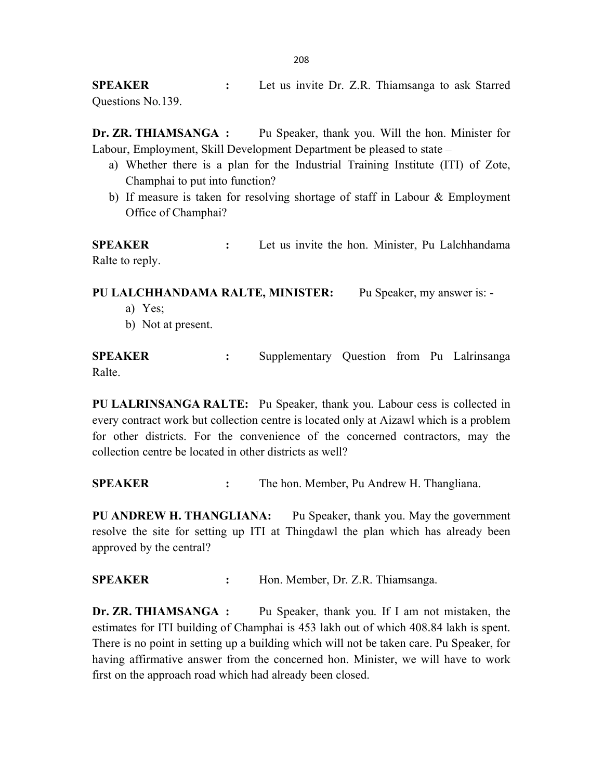**SPEAKER** : Let us invite Dr. Z.R. Thiamsanga to ask Starred Questions No.139.

Dr. ZR. THIAMSANGA : Pu Speaker, thank you. Will the hon. Minister for Labour, Employment, Skill Development Department be pleased to state –

- a) Whether there is a plan for the Industrial Training Institute (ITI) of Zote, Champhai to put into function?
- b) If measure is taken for resolving shortage of staff in Labour & Employment Office of Champhai?

**SPEAKER** : Let us invite the hon. Minister, Pu Lalchhandama Ralte to reply.

PU LALCHHANDAMA RALTE, MINISTER: Pu Speaker, my answer is: -

- a) Yes;
- b) Not at present.

SPEAKER : Supplementary Question from Pu Lalrinsanga Ralte.

PU LALRINSANGA RALTE: Pu Speaker, thank you. Labour cess is collected in every contract work but collection centre is located only at Aizawl which is a problem for other districts. For the convenience of the concerned contractors, may the collection centre be located in other districts as well?

SPEAKER : The hon. Member, Pu Andrew H. Thangliana.

PU ANDREW H. THANGLIANA: Pu Speaker, thank you. May the government resolve the site for setting up ITI at Thingdawl the plan which has already been approved by the central?

SPEAKER : Hon. Member, Dr. Z.R. Thiamsanga.

Dr. ZR. THIAMSANGA : Pu Speaker, thank you. If I am not mistaken, the estimates for ITI building of Champhai is 453 lakh out of which 408.84 lakh is spent. There is no point in setting up a building which will not be taken care. Pu Speaker, for having affirmative answer from the concerned hon. Minister, we will have to work first on the approach road which had already been closed.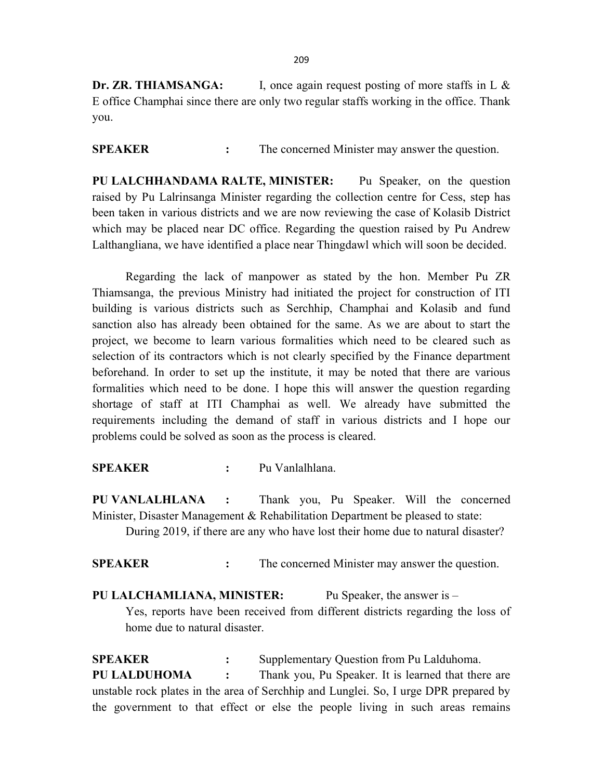Dr. ZR. THIAMSANGA: I, once again request posting of more staffs in L & E office Champhai since there are only two regular staffs working in the office. Thank you.

SPEAKER : The concerned Minister may answer the question.

PU LALCHHANDAMA RALTE, MINISTER: Pu Speaker, on the question raised by Pu Lalrinsanga Minister regarding the collection centre for Cess, step has been taken in various districts and we are now reviewing the case of Kolasib District which may be placed near DC office. Regarding the question raised by Pu Andrew Lalthangliana, we have identified a place near Thingdawl which will soon be decided.

 Regarding the lack of manpower as stated by the hon. Member Pu ZR Thiamsanga, the previous Ministry had initiated the project for construction of ITI building is various districts such as Serchhip, Champhai and Kolasib and fund sanction also has already been obtained for the same. As we are about to start the project, we become to learn various formalities which need to be cleared such as selection of its contractors which is not clearly specified by the Finance department beforehand. In order to set up the institute, it may be noted that there are various formalities which need to be done. I hope this will answer the question regarding shortage of staff at ITI Champhai as well. We already have submitted the requirements including the demand of staff in various districts and I hope our problems could be solved as soon as the process is cleared.

SPEAKER : Pu Vanlalhlana.

PU VANLALHLANA : Thank you, Pu Speaker. Will the concerned Minister, Disaster Management & Rehabilitation Department be pleased to state:

During 2019, if there are any who have lost their home due to natural disaster?

SPEAKER : The concerned Minister may answer the question.

PU LALCHAMLIANA, MINISTER: Pu Speaker, the answer is – Yes, reports have been received from different districts regarding the loss of home due to natural disaster.

SPEAKER : Supplementary Question from Pu Lalduhoma. PU LALDUHOMA : Thank you, Pu Speaker. It is learned that there are unstable rock plates in the area of Serchhip and Lunglei. So, I urge DPR prepared by the government to that effect or else the people living in such areas remains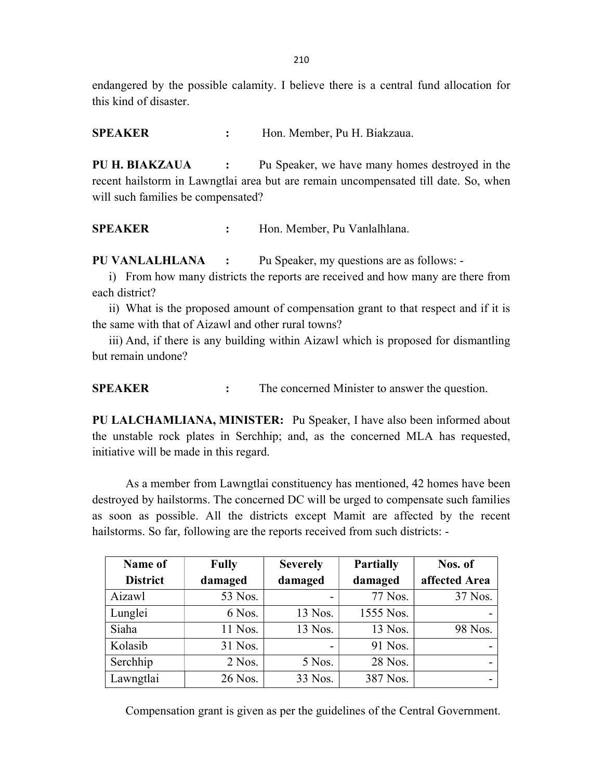endangered by the possible calamity. I believe there is a central fund allocation for this kind of disaster.

SPEAKER : Hon. Member, Pu H. Biakzaua.

PU H. BIAKZAUA : Pu Speaker, we have many homes destroyed in the recent hailstorm in Lawngtlai area but are remain uncompensated till date. So, when will such families be compensated?

SPEAKER : Hon. Member, Pu Vanlalhlana.

PU VANLALHLANA : Pu Speaker, my questions are as follows: -

i) From how many districts the reports are received and how many are there from each district?

ii) What is the proposed amount of compensation grant to that respect and if it is the same with that of Aizawl and other rural towns?

iii) And, if there is any building within Aizawl which is proposed for dismantling but remain undone?

SPEAKER : The concerned Minister to answer the question.

PU LALCHAMLIANA, MINISTER: Pu Speaker, I have also been informed about the unstable rock plates in Serchhip; and, as the concerned MLA has requested, initiative will be made in this regard.

As a member from Lawngtlai constituency has mentioned, 42 homes have been destroyed by hailstorms. The concerned DC will be urged to compensate such families as soon as possible. All the districts except Mamit are affected by the recent hailstorms. So far, following are the reports received from such districts: -

| Name of         | <b>Fully</b> | <b>Severely</b>          | <b>Partially</b> | Nos. of       |
|-----------------|--------------|--------------------------|------------------|---------------|
| <b>District</b> | damaged      | damaged                  | damaged          | affected Area |
| Aizawl          | 53 Nos.      |                          | 77 Nos.          | 37 Nos.       |
| Lunglei         | 6 Nos.       | 13 Nos.                  | 1555 Nos.        |               |
| Siaha           | 11 Nos.      | 13 Nos.                  | 13 Nos.          | 98 Nos.       |
| Kolasib         | 31 Nos.      | $\overline{\phantom{0}}$ | 91 Nos.          |               |
| Serchhip        | $2$ Nos.     | 5 Nos.                   | 28 Nos.          |               |
| Lawngtlai       | 26 Nos.      | 33 Nos.                  | 387 Nos.         |               |

Compensation grant is given as per the guidelines of the Central Government.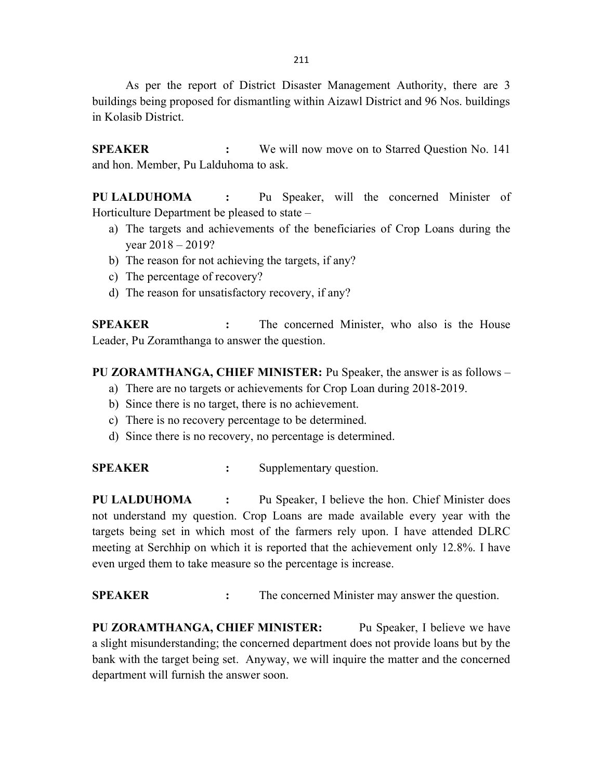As per the report of District Disaster Management Authority, there are 3 buildings being proposed for dismantling within Aizawl District and 96 Nos. buildings in Kolasib District.

SPEAKER : We will now move on to Starred Question No. 141 and hon. Member, Pu Lalduhoma to ask.

PU LALDUHOMA : Pu Speaker, will the concerned Minister of Horticulture Department be pleased to state –

- a) The targets and achievements of the beneficiaries of Crop Loans during the year 2018 – 2019?
- b) The reason for not achieving the targets, if any?
- c) The percentage of recovery?
- d) The reason for unsatisfactory recovery, if any?

SPEAKER : The concerned Minister, who also is the House Leader, Pu Zoramthanga to answer the question.

## PU ZORAMTHANGA, CHIEF MINISTER: Pu Speaker, the answer is as follows –

- a) There are no targets or achievements for Crop Loan during 2018-2019.
- b) Since there is no target, there is no achievement.
- c) There is no recovery percentage to be determined.
- d) Since there is no recovery, no percentage is determined.

SPEAKER : Supplementary question.

PU LALDUHOMA : Pu Speaker, I believe the hon. Chief Minister does not understand my question. Crop Loans are made available every year with the targets being set in which most of the farmers rely upon. I have attended DLRC meeting at Serchhip on which it is reported that the achievement only 12.8%. I have even urged them to take measure so the percentage is increase.

SPEAKER : The concerned Minister may answer the question.

PU ZORAMTHANGA, CHIEF MINISTER: Pu Speaker, I believe we have a slight misunderstanding; the concerned department does not provide loans but by the bank with the target being set. Anyway, we will inquire the matter and the concerned department will furnish the answer soon.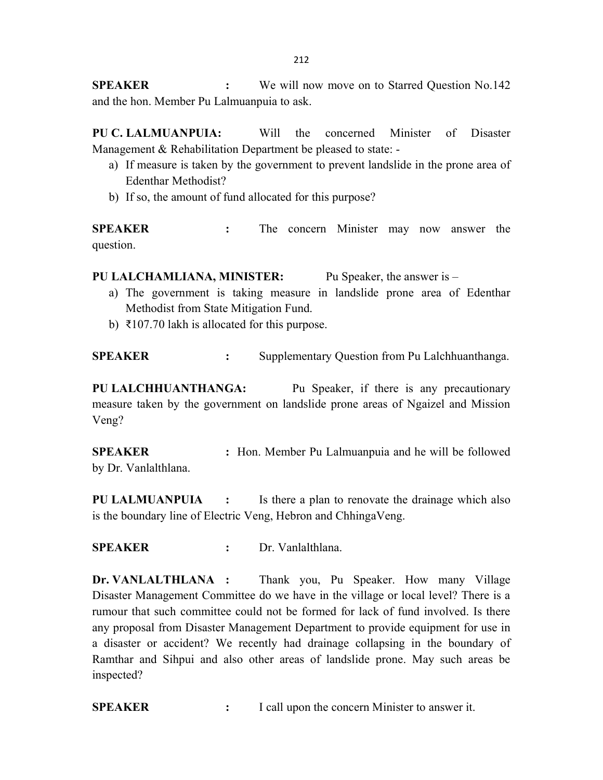**SPEAKER** : We will now move on to Starred Question No.142 and the hon. Member Pu Lalmuanpuia to ask.

PU C. LALMUANPUIA: Will the concerned Minister of Disaster Management & Rehabilitation Department be pleased to state: -

- a) If measure is taken by the government to prevent landslide in the prone area of Edenthar Methodist?
- b) If so, the amount of fund allocated for this purpose?

SPEAKER : The concern Minister may now answer the question.

PU LALCHAMLIANA, MINISTER: Pu Speaker, the answer is –

- a) The government is taking measure in landslide prone area of Edenthar Methodist from State Mitigation Fund.
- b) ₹107.70 lakh is allocated for this purpose.

SPEAKER : Supplementary Question from Pu Lalchhuanthanga.

PU LALCHHUANTHANGA: Pu Speaker, if there is any precautionary measure taken by the government on landslide prone areas of Ngaizel and Mission Veng?

**SPEAKER** : Hon. Member Pu Lalmuanpuia and he will be followed by Dr. Vanlalthlana.

PU LALMUANPUIA : Is there a plan to renovate the drainage which also is the boundary line of Electric Veng, Hebron and ChhingaVeng.

SPEAKER : Dr. Vanlalthlana.

Dr. VANLALTHLANA : Thank you, Pu Speaker. How many Village Disaster Management Committee do we have in the village or local level? There is a rumour that such committee could not be formed for lack of fund involved. Is there any proposal from Disaster Management Department to provide equipment for use in a disaster or accident? We recently had drainage collapsing in the boundary of Ramthar and Sihpui and also other areas of landslide prone. May such areas be inspected?

SPEAKER : I call upon the concern Minister to answer it.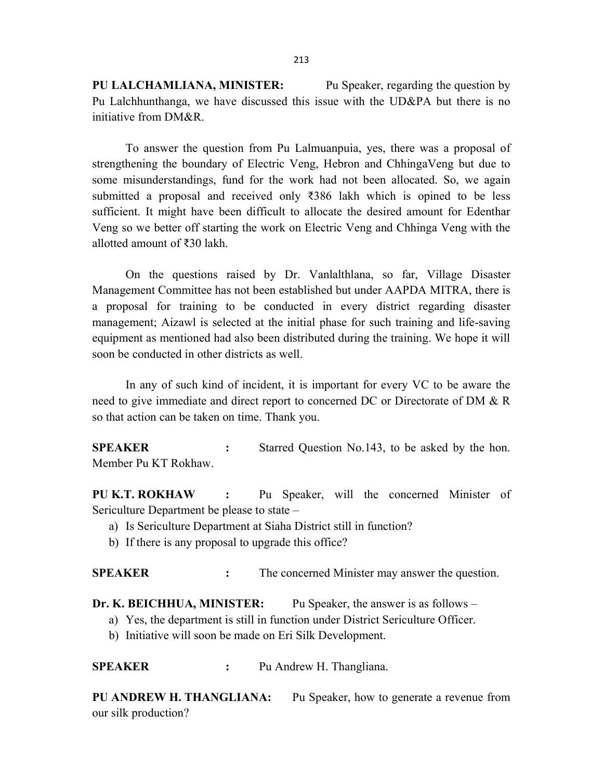PU LALCHAMLIANA, MINISTER: Pu Speaker, regarding the question by Pu Lalchhunthanga, we have discussed this issue with the UD&PA but there is no initiative from DM&R.

To answer the question from Pu Lalmuanpuia, yes, there was a proposal of strengthening the boundary of Electric Veng, Hebron and ChhingaVeng but due to some misunderstandings, fund for the work had not been allocated. So, we again submitted a proposal and received only ₹386 lakh which is opined to be less sufficient. It might have been difficult to allocate the desired amount for Edenthar Veng so we better off starting the work on Electric Veng and Chhinga Veng with the allotted amount of ₹30 lakh.

On the questions raised by Dr. Vanlalthlana, so far, Village Disaster Management Committee has not been established but under AAPDA MITRA, there is a proposal for training to be conducted in every district regarding disaster management; Aizawl is selected at the initial phase for such training and life-saving equipment as mentioned had also been distributed during the training. We hope it will soon be conducted in other districts as well.

In any of such kind of incident, it is important for every VC to be aware the need to give immediate and direct report to concerned DC or Directorate of DM & R so that action can be taken on time. Thank you.

SPEAKER : Starred Question No.143, to be asked by the hon. Member Pu KT Rokhaw.

PU K.T. ROKHAW : Pu Speaker, will the concerned Minister of Sericulture Department be please to state –

- a) Is Sericulture Department at Siaha District still in function?
- b) If there is any proposal to upgrade this office?

SPEAKER : The concerned Minister may answer the question.

Dr. K. BEICHHUA, MINISTER: Pu Speaker, the answer is as follows –

- a) Yes, the department is still in function under District Sericulture Officer.
- b) Initiative will soon be made on Eri Silk Development.

SPEAKER : Pu Andrew H. Thangliana.

PU ANDREW H. THANGLIANA: Pu Speaker, how to generate a revenue from our silk production?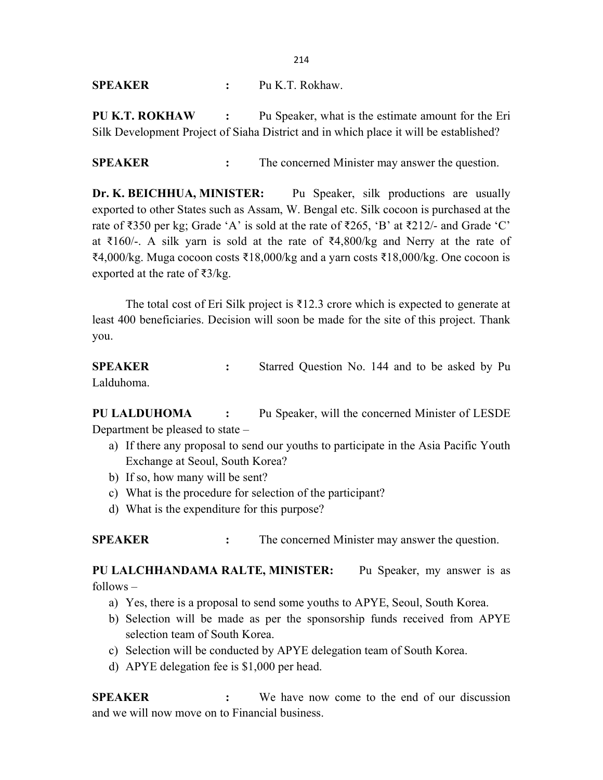SPEAKER : Pu K.T. Rokhaw.

PU K.T. ROKHAW : Pu Speaker, what is the estimate amount for the Eri Silk Development Project of Siaha District and in which place it will be established?

SPEAKER : The concerned Minister may answer the question.

Dr. K. BEICHHUA, MINISTER: Pu Speaker, silk productions are usually exported to other States such as Assam, W. Bengal etc. Silk cocoon is purchased at the rate of  $\text{\textless}350$  per kg; Grade 'A' is sold at the rate of  $\text{\textless}265$ , 'B' at  $\text{\textless}212/4$  and Grade 'C' at ₹160/-. A silk yarn is sold at the rate of ₹4,800/kg and Nerry at the rate of ₹4,000/kg. Muga cocoon costs ₹18,000/kg and a yarn costs ₹18,000/kg. One cocoon is exported at the rate of  $\overline{\xi}$ 3/kg.

The total cost of Eri Silk project is  $\overline{\xi}$ 12.3 crore which is expected to generate at least 400 beneficiaries. Decision will soon be made for the site of this project. Thank you.

SPEAKER : Starred Question No. 144 and to be asked by Pu Lalduhoma.

PU LALDUHOMA : Pu Speaker, will the concerned Minister of LESDE Department be pleased to state –

- a) If there any proposal to send our youths to participate in the Asia Pacific Youth Exchange at Seoul, South Korea?
- b) If so, how many will be sent?
- c) What is the procedure for selection of the participant?
- d) What is the expenditure for this purpose?

SPEAKER : The concerned Minister may answer the question.

PU LALCHHANDAMA RALTE, MINISTER: Pu Speaker, my answer is as follows –

- a) Yes, there is a proposal to send some youths to APYE, Seoul, South Korea.
- b) Selection will be made as per the sponsorship funds received from APYE selection team of South Korea.
- c) Selection will be conducted by APYE delegation team of South Korea.
- d) APYE delegation fee is \$1,000 per head.

SPEAKER : We have now come to the end of our discussion and we will now move on to Financial business.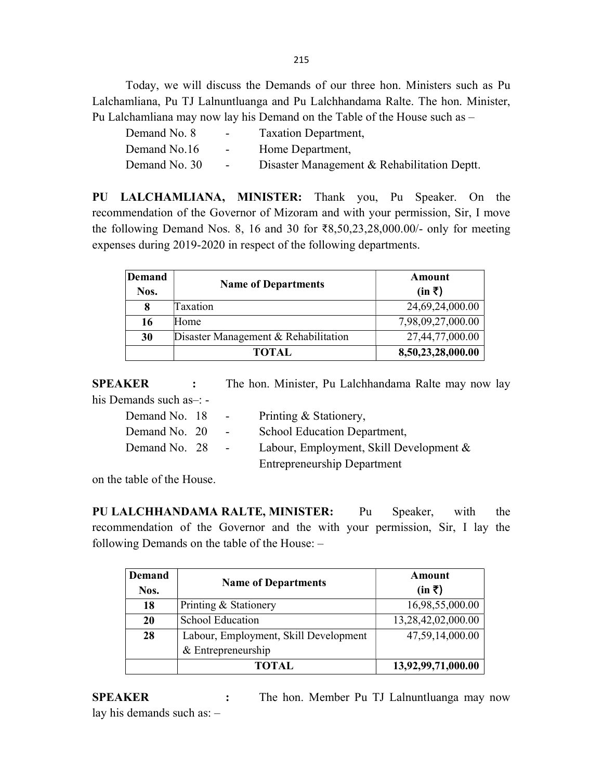Today, we will discuss the Demands of our three hon. Ministers such as Pu Lalchamliana, Pu TJ Lalnuntluanga and Pu Lalchhandama Ralte. The hon. Minister, Pu Lalchamliana may now lay his Demand on the Table of the House such as –

| Demand No. 8  | $\sim$ 100 $\mu$         | Taxation Department,                        |
|---------------|--------------------------|---------------------------------------------|
| Demand No.16  | <b>Contract Contract</b> | Home Department,                            |
| Demand No. 30 | $\sim 100$               | Disaster Management & Rehabilitation Deptt. |

PU LALCHAMLIANA, MINISTER: Thank you, Pu Speaker. On the recommendation of the Governor of Mizoram and with your permission, Sir, I move the following Demand Nos. 8, 16 and 30 for ₹8,50,23,28,000.00/- only for meeting expenses during 2019-2020 in respect of the following departments.

| <b>Demand</b><br>Nos. | <b>Name of Departments</b>           | Amount<br>$(in \bar{z})$ |
|-----------------------|--------------------------------------|--------------------------|
| 8                     | Taxation                             | 24,69,24,000.00          |
| 16                    | Home                                 | 7,98,09,27,000.00        |
| 30                    | Disaster Management & Rehabilitation | 27,44,77,000.00          |
|                       | <b>TOTAL</b>                         | 8,50,23,28,000.00        |

SPEAKER : The hon. Minister, Pu Lalchhandama Ralte may now lay his Demands such as–: -

| Demand No. 18 | $\sim$ 10 $\pm$ | Printing & Stationery,                  |
|---------------|-----------------|-----------------------------------------|
| Demand No. 20 | $\sim$ $-$      | School Education Department,            |
| Demand No. 28 | $\sim$ 10 $\pm$ | Labour, Employment, Skill Development & |
|               |                 | <b>Entrepreneurship Department</b>      |

on the table of the House.

PU LALCHHANDAMA RALTE, MINISTER: Pu Speaker, with the recommendation of the Governor and the with your permission, Sir, I lay the following Demands on the table of the House: –

| Demand<br>Nos. | <b>Name of Departments</b>            | Amount<br>$(in \bar{z})$ |
|----------------|---------------------------------------|--------------------------|
| 18             | Printing & Stationery                 | 16,98,55,000.00          |
| 20             | <b>School Education</b>               | 13,28,42,02,000.00       |
| 28             | Labour, Employment, Skill Development | 47,59,14,000.00          |
|                | & Entrepreneurship                    |                          |
|                | <b>TOTAL</b>                          | 13,92,99,71,000.00       |

SPEAKER : The hon. Member Pu TJ Lalnuntluanga may now lay his demands such as: –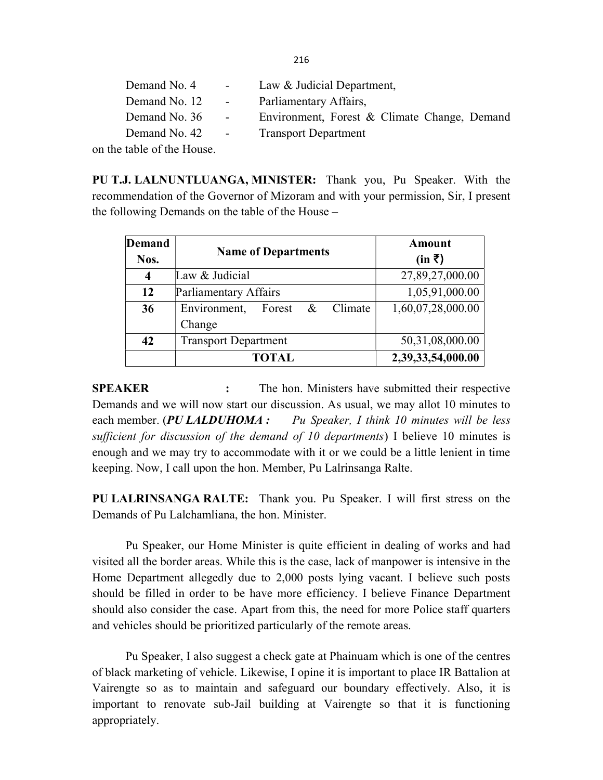| Demand No. 4  | $\sim$ 100 $\mu$         | Law & Judicial Department,                   |
|---------------|--------------------------|----------------------------------------------|
| Demand No. 12 | <b>Contract Contract</b> | Parliamentary Affairs,                       |
| Demand No. 36 | $\sim 100$               | Environment, Forest & Climate Change, Demand |
| Demand No. 42 | $\sim$ $-$               | <b>Transport Department</b>                  |
|               |                          |                                              |

on the table of the House.

PU T.J. LALNUNTLUANGA, MINISTER: Thank you, Pu Speaker. With the recommendation of the Governor of Mizoram and with your permission, Sir, I present the following Demands on the table of the House –

| <b>Demand</b><br>Nos. | <b>Name of Departments</b>                       | Amount<br>$(in \; \bar{\bar{\tau}})$ |
|-----------------------|--------------------------------------------------|--------------------------------------|
| 4                     | Law & Judicial                                   | 27,89,27,000.00                      |
| 12                    | Parliamentary Affairs                            | 1,05,91,000.00                       |
| 36                    | Environment,<br>Climate<br>Forest $\&$<br>Change | 1,60,07,28,000.00                    |
| 42                    | <b>Transport Department</b>                      | 50,31,08,000.00                      |
|                       | <b>TOTAL</b>                                     | 2,39,33,54,000.00                    |

SPEAKER : The hon. Ministers have submitted their respective Demands and we will now start our discussion. As usual, we may allot 10 minutes to each member. (PU LALDUHOMA : Pu Speaker, I think 10 minutes will be less sufficient for discussion of the demand of 10 departments) I believe 10 minutes is enough and we may try to accommodate with it or we could be a little lenient in time keeping. Now, I call upon the hon. Member, Pu Lalrinsanga Ralte.

PU LALRINSANGA RALTE: Thank you. Pu Speaker. I will first stress on the Demands of Pu Lalchamliana, the hon. Minister.

 Pu Speaker, our Home Minister is quite efficient in dealing of works and had visited all the border areas. While this is the case, lack of manpower is intensive in the Home Department allegedly due to 2,000 posts lying vacant. I believe such posts should be filled in order to be have more efficiency. I believe Finance Department should also consider the case. Apart from this, the need for more Police staff quarters and vehicles should be prioritized particularly of the remote areas.

Pu Speaker, I also suggest a check gate at Phainuam which is one of the centres of black marketing of vehicle. Likewise, I opine it is important to place IR Battalion at Vairengte so as to maintain and safeguard our boundary effectively. Also, it is important to renovate sub-Jail building at Vairengte so that it is functioning appropriately.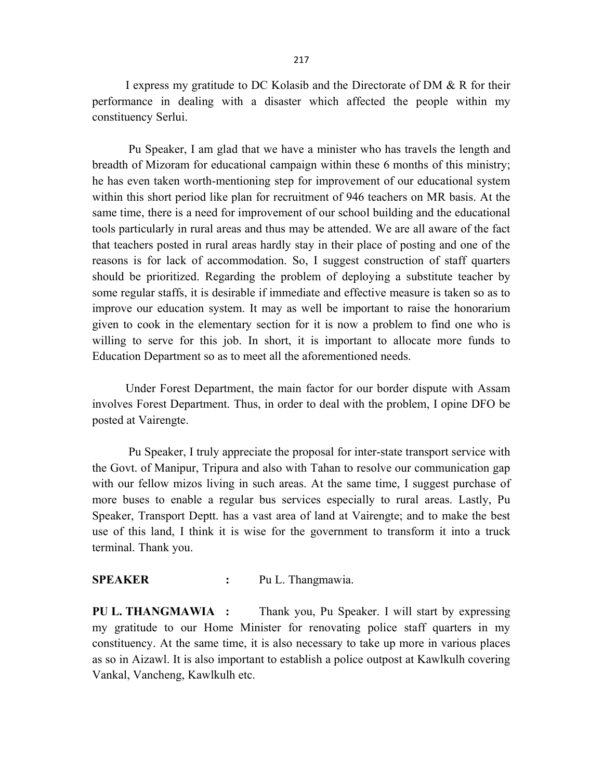I express my gratitude to DC Kolasib and the Directorate of DM & R for their performance in dealing with a disaster which affected the people within my constituency Serlui.

Pu Speaker, I am glad that we have a minister who has travels the length and breadth of Mizoram for educational campaign within these 6 months of this ministry; he has even taken worth-mentioning step for improvement of our educational system within this short period like plan for recruitment of 946 teachers on MR basis. At the same time, there is a need for improvement of our school building and the educational tools particularly in rural areas and thus may be attended. We are all aware of the fact that teachers posted in rural areas hardly stay in their place of posting and one of the reasons is for lack of accommodation. So, I suggest construction of staff quarters should be prioritized. Regarding the problem of deploying a substitute teacher by some regular staffs, it is desirable if immediate and effective measure is taken so as to improve our education system. It may as well be important to raise the honorarium given to cook in the elementary section for it is now a problem to find one who is willing to serve for this job. In short, it is important to allocate more funds to Education Department so as to meet all the aforementioned needs.

Under Forest Department, the main factor for our border dispute with Assam involves Forest Department. Thus, in order to deal with the problem, I opine DFO be posted at Vairengte.

 Pu Speaker, I truly appreciate the proposal for inter-state transport service with the Govt. of Manipur, Tripura and also with Tahan to resolve our communication gap with our fellow mizos living in such areas. At the same time, I suggest purchase of more buses to enable a regular bus services especially to rural areas. Lastly, Pu Speaker, Transport Deptt. has a vast area of land at Vairengte; and to make the best use of this land, I think it is wise for the government to transform it into a truck terminal. Thank you.

#### SPEAKER : Pu L. Thangmawia.

PU L. THANGMAWIA : Thank you, Pu Speaker. I will start by expressing my gratitude to our Home Minister for renovating police staff quarters in my constituency. At the same time, it is also necessary to take up more in various places as so in Aizawl. It is also important to establish a police outpost at Kawlkulh covering Vankal, Vancheng, Kawlkulh etc.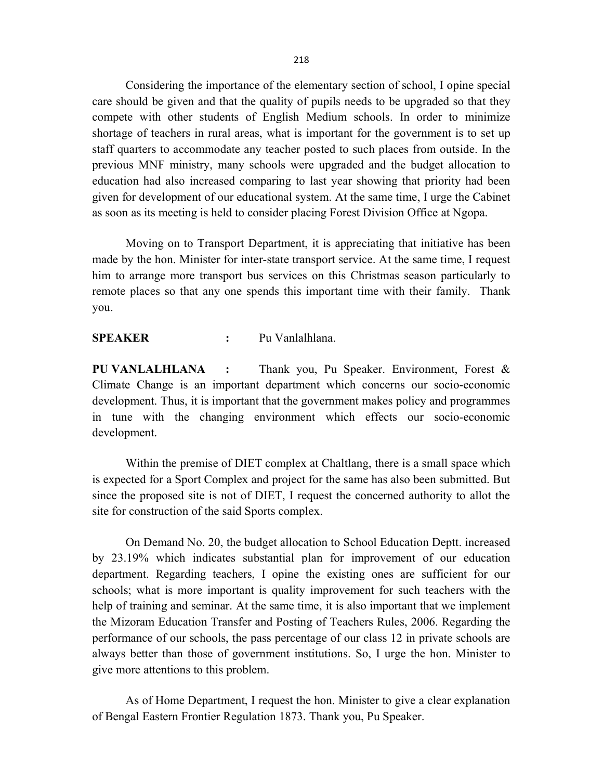Considering the importance of the elementary section of school, I opine special care should be given and that the quality of pupils needs to be upgraded so that they compete with other students of English Medium schools. In order to minimize shortage of teachers in rural areas, what is important for the government is to set up staff quarters to accommodate any teacher posted to such places from outside. In the previous MNF ministry, many schools were upgraded and the budget allocation to education had also increased comparing to last year showing that priority had been given for development of our educational system. At the same time, I urge the Cabinet as soon as its meeting is held to consider placing Forest Division Office at Ngopa.

Moving on to Transport Department, it is appreciating that initiative has been made by the hon. Minister for inter-state transport service. At the same time, I request him to arrange more transport bus services on this Christmas season particularly to remote places so that any one spends this important time with their family. Thank you.

SPEAKER : Pu Vanlalhlana.

PU VANLALHLANA : Thank you, Pu Speaker. Environment, Forest & Climate Change is an important department which concerns our socio-economic development. Thus, it is important that the government makes policy and programmes in tune with the changing environment which effects our socio-economic development.

 Within the premise of DIET complex at Chaltlang, there is a small space which is expected for a Sport Complex and project for the same has also been submitted. But since the proposed site is not of DIET, I request the concerned authority to allot the site for construction of the said Sports complex.

 On Demand No. 20, the budget allocation to School Education Deptt. increased by 23.19% which indicates substantial plan for improvement of our education department. Regarding teachers, I opine the existing ones are sufficient for our schools; what is more important is quality improvement for such teachers with the help of training and seminar. At the same time, it is also important that we implement the Mizoram Education Transfer and Posting of Teachers Rules, 2006. Regarding the performance of our schools, the pass percentage of our class 12 in private schools are always better than those of government institutions. So, I urge the hon. Minister to give more attentions to this problem.

 As of Home Department, I request the hon. Minister to give a clear explanation of Bengal Eastern Frontier Regulation 1873. Thank you, Pu Speaker.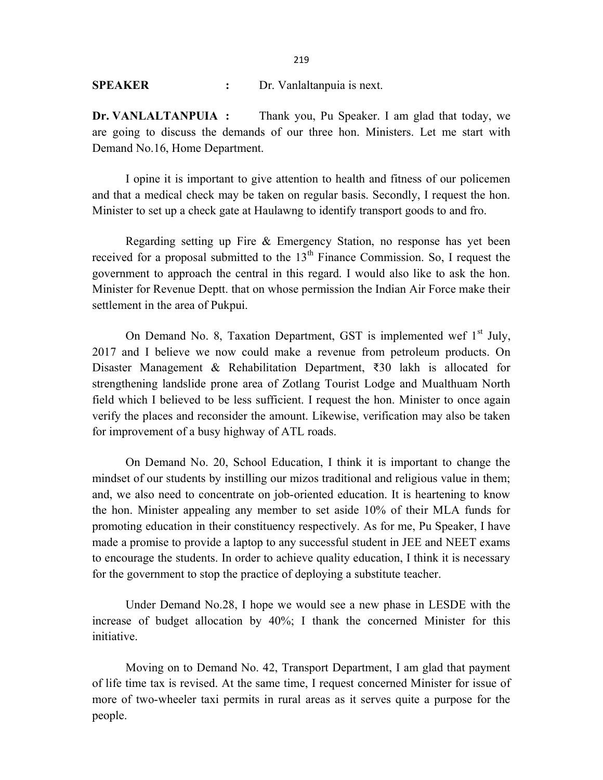#### SPEAKER : Dr. Vanlaltanpuia is next.

Dr. VANLALTANPUIA : Thank you, Pu Speaker. I am glad that today, we are going to discuss the demands of our three hon. Ministers. Let me start with Demand No.16, Home Department.

 I opine it is important to give attention to health and fitness of our policemen and that a medical check may be taken on regular basis. Secondly, I request the hon. Minister to set up a check gate at Haulawng to identify transport goods to and fro.

Regarding setting up Fire & Emergency Station, no response has yet been received for a proposal submitted to the  $13<sup>th</sup>$  Finance Commission. So, I request the government to approach the central in this regard. I would also like to ask the hon. Minister for Revenue Deptt. that on whose permission the Indian Air Force make their settlement in the area of Pukpui.

On Demand No. 8, Taxation Department, GST is implemented wef  $1<sup>st</sup>$  July, 2017 and I believe we now could make a revenue from petroleum products. On Disaster Management & Rehabilitation Department, ₹30 lakh is allocated for strengthening landslide prone area of Zotlang Tourist Lodge and Mualthuam North field which I believed to be less sufficient. I request the hon. Minister to once again verify the places and reconsider the amount. Likewise, verification may also be taken for improvement of a busy highway of ATL roads.

On Demand No. 20, School Education, I think it is important to change the mindset of our students by instilling our mizos traditional and religious value in them; and, we also need to concentrate on job-oriented education. It is heartening to know the hon. Minister appealing any member to set aside 10% of their MLA funds for promoting education in their constituency respectively. As for me, Pu Speaker, I have made a promise to provide a laptop to any successful student in JEE and NEET exams to encourage the students. In order to achieve quality education, I think it is necessary for the government to stop the practice of deploying a substitute teacher.

Under Demand No.28, I hope we would see a new phase in LESDE with the increase of budget allocation by 40%; I thank the concerned Minister for this initiative.

Moving on to Demand No. 42, Transport Department, I am glad that payment of life time tax is revised. At the same time, I request concerned Minister for issue of more of two-wheeler taxi permits in rural areas as it serves quite a purpose for the people.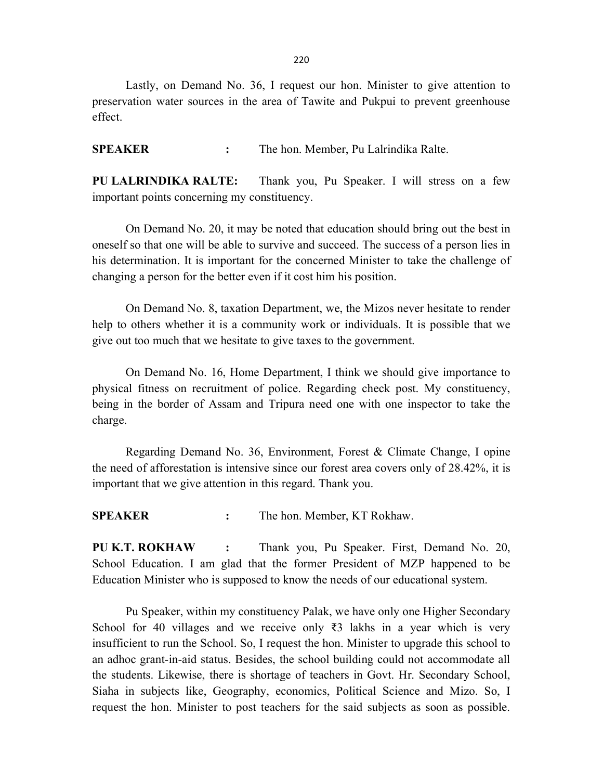Lastly, on Demand No. 36, I request our hon. Minister to give attention to preservation water sources in the area of Tawite and Pukpui to prevent greenhouse effect.

SPEAKER : The hon. Member, Pu Lalrindika Ralte.

PU LALRINDIKA RALTE: Thank you, Pu Speaker. I will stress on a few important points concerning my constituency.

 On Demand No. 20, it may be noted that education should bring out the best in oneself so that one will be able to survive and succeed. The success of a person lies in his determination. It is important for the concerned Minister to take the challenge of changing a person for the better even if it cost him his position.

 On Demand No. 8, taxation Department, we, the Mizos never hesitate to render help to others whether it is a community work or individuals. It is possible that we give out too much that we hesitate to give taxes to the government.

 On Demand No. 16, Home Department, I think we should give importance to physical fitness on recruitment of police. Regarding check post. My constituency, being in the border of Assam and Tripura need one with one inspector to take the charge.

Regarding Demand No. 36, Environment, Forest & Climate Change, I opine the need of afforestation is intensive since our forest area covers only of 28.42%, it is important that we give attention in this regard. Thank you.

SPEAKER : The hon. Member, KT Rokhaw.

PU K.T. ROKHAW : Thank you, Pu Speaker. First, Demand No. 20, School Education. I am glad that the former President of MZP happened to be Education Minister who is supposed to know the needs of our educational system.

Pu Speaker, within my constituency Palak, we have only one Higher Secondary School for 40 villages and we receive only ₹3 lakhs in a year which is very insufficient to run the School. So, I request the hon. Minister to upgrade this school to an adhoc grant-in-aid status. Besides, the school building could not accommodate all the students. Likewise, there is shortage of teachers in Govt. Hr. Secondary School, Siaha in subjects like, Geography, economics, Political Science and Mizo. So, I request the hon. Minister to post teachers for the said subjects as soon as possible.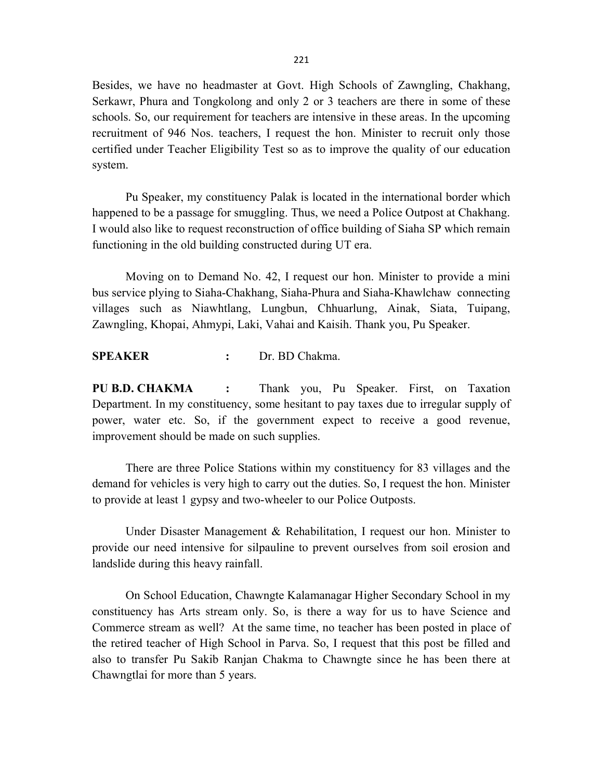Besides, we have no headmaster at Govt. High Schools of Zawngling, Chakhang, Serkawr, Phura and Tongkolong and only 2 or 3 teachers are there in some of these schools. So, our requirement for teachers are intensive in these areas. In the upcoming recruitment of 946 Nos. teachers, I request the hon. Minister to recruit only those certified under Teacher Eligibility Test so as to improve the quality of our education system.

Pu Speaker, my constituency Palak is located in the international border which happened to be a passage for smuggling. Thus, we need a Police Outpost at Chakhang. I would also like to request reconstruction of office building of Siaha SP which remain functioning in the old building constructed during UT era.

Moving on to Demand No. 42, I request our hon. Minister to provide a mini bus service plying to Siaha-Chakhang, Siaha-Phura and Siaha-Khawlchaw connecting villages such as Niawhtlang, Lungbun, Chhuarlung, Ainak, Siata, Tuipang, Zawngling, Khopai, Ahmypi, Laki, Vahai and Kaisih. Thank you, Pu Speaker.

#### SPEAKER : Dr. BD Chakma.

PU B.D. CHAKMA : Thank you, Pu Speaker. First, on Taxation Department. In my constituency, some hesitant to pay taxes due to irregular supply of power, water etc. So, if the government expect to receive a good revenue, improvement should be made on such supplies.

There are three Police Stations within my constituency for 83 villages and the demand for vehicles is very high to carry out the duties. So, I request the hon. Minister to provide at least 1 gypsy and two-wheeler to our Police Outposts.

Under Disaster Management & Rehabilitation, I request our hon. Minister to provide our need intensive for silpauline to prevent ourselves from soil erosion and landslide during this heavy rainfall.

On School Education, Chawngte Kalamanagar Higher Secondary School in my constituency has Arts stream only. So, is there a way for us to have Science and Commerce stream as well? At the same time, no teacher has been posted in place of the retired teacher of High School in Parva. So, I request that this post be filled and also to transfer Pu Sakib Ranjan Chakma to Chawngte since he has been there at Chawngtlai for more than 5 years.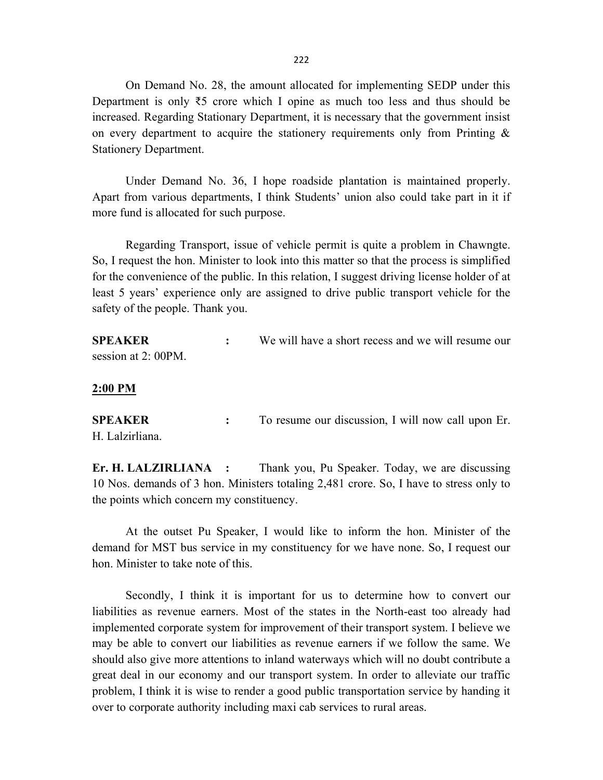On Demand No. 28, the amount allocated for implementing SEDP under this Department is only ₹5 crore which I opine as much too less and thus should be increased. Regarding Stationary Department, it is necessary that the government insist on every department to acquire the stationery requirements only from Printing & Stationery Department.

Under Demand No. 36, I hope roadside plantation is maintained properly. Apart from various departments, I think Students' union also could take part in it if more fund is allocated for such purpose.

Regarding Transport, issue of vehicle permit is quite a problem in Chawngte. So, I request the hon. Minister to look into this matter so that the process is simplified for the convenience of the public. In this relation, I suggest driving license holder of at least 5 years' experience only are assigned to drive public transport vehicle for the safety of the people. Thank you.

| <b>SPEAKER</b>      | We will have a short recess and we will resume our |
|---------------------|----------------------------------------------------|
| session at 2: 00PM. |                                                    |

#### 2:00 PM

SPEAKER : To resume our discussion, I will now call upon Er. H. Lalzirliana.

Er. H. LALZIRLIANA : Thank you, Pu Speaker. Today, we are discussing 10 Nos. demands of 3 hon. Ministers totaling 2,481 crore. So, I have to stress only to the points which concern my constituency.

 At the outset Pu Speaker, I would like to inform the hon. Minister of the demand for MST bus service in my constituency for we have none. So, I request our hon. Minister to take note of this.

 Secondly, I think it is important for us to determine how to convert our liabilities as revenue earners. Most of the states in the North-east too already had implemented corporate system for improvement of their transport system. I believe we may be able to convert our liabilities as revenue earners if we follow the same. We should also give more attentions to inland waterways which will no doubt contribute a great deal in our economy and our transport system. In order to alleviate our traffic problem, I think it is wise to render a good public transportation service by handing it over to corporate authority including maxi cab services to rural areas.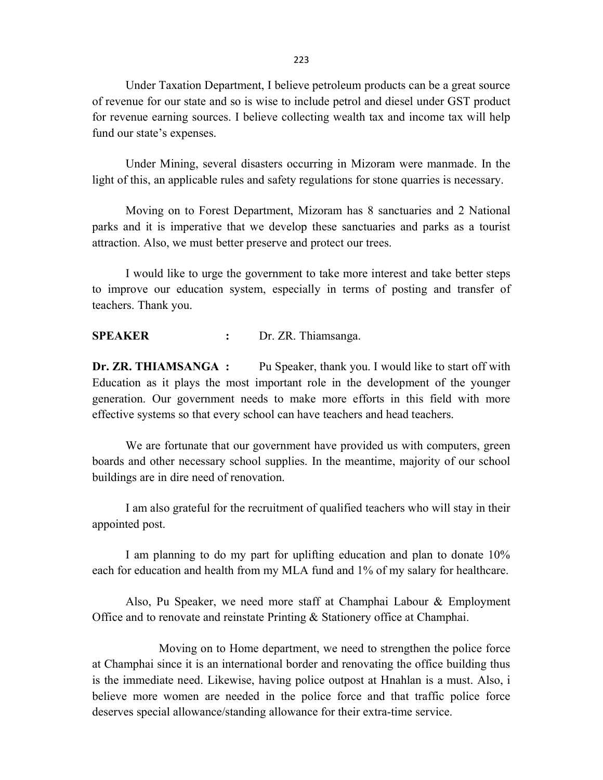Under Taxation Department, I believe petroleum products can be a great source of revenue for our state and so is wise to include petrol and diesel under GST product for revenue earning sources. I believe collecting wealth tax and income tax will help fund our state's expenses.

Under Mining, several disasters occurring in Mizoram were manmade. In the light of this, an applicable rules and safety regulations for stone quarries is necessary.

Moving on to Forest Department, Mizoram has 8 sanctuaries and 2 National parks and it is imperative that we develop these sanctuaries and parks as a tourist attraction. Also, we must better preserve and protect our trees.

I would like to urge the government to take more interest and take better steps to improve our education system, especially in terms of posting and transfer of teachers. Thank you.

#### SPEAKER : Dr. ZR. Thiamsanga.

Dr. ZR. THIAMSANGA : Pu Speaker, thank you. I would like to start off with Education as it plays the most important role in the development of the younger generation. Our government needs to make more efforts in this field with more effective systems so that every school can have teachers and head teachers.

We are fortunate that our government have provided us with computers, green boards and other necessary school supplies. In the meantime, majority of our school buildings are in dire need of renovation.

I am also grateful for the recruitment of qualified teachers who will stay in their appointed post.

I am planning to do my part for uplifting education and plan to donate 10% each for education and health from my MLA fund and 1% of my salary for healthcare.

Also, Pu Speaker, we need more staff at Champhai Labour & Employment Office and to renovate and reinstate Printing & Stationery office at Champhai.

 Moving on to Home department, we need to strengthen the police force at Champhai since it is an international border and renovating the office building thus is the immediate need. Likewise, having police outpost at Hnahlan is a must. Also, i believe more women are needed in the police force and that traffic police force deserves special allowance/standing allowance for their extra-time service.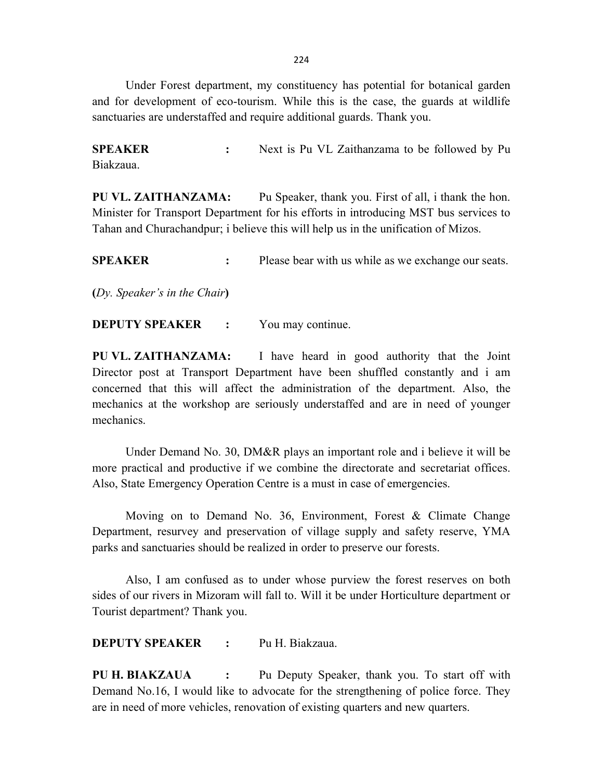Under Forest department, my constituency has potential for botanical garden and for development of eco-tourism. While this is the case, the guards at wildlife sanctuaries are understaffed and require additional guards. Thank you.

SPEAKER : Next is Pu VL Zaithanzama to be followed by Pu Biakzaua.

PU VL. ZAITHANZAMA: Pu Speaker, thank you. First of all, i thank the hon. Minister for Transport Department for his efforts in introducing MST bus services to Tahan and Churachandpur; i believe this will help us in the unification of Mizos.

SPEAKER : Please bear with us while as we exchange our seats.

(Dy. Speaker's in the Chair)

**DEPUTY SPEAKER :** You may continue.

PU VL. ZAITHANZAMA: I have heard in good authority that the Joint Director post at Transport Department have been shuffled constantly and i am concerned that this will affect the administration of the department. Also, the mechanics at the workshop are seriously understaffed and are in need of younger mechanics.

Under Demand No. 30, DM&R plays an important role and i believe it will be more practical and productive if we combine the directorate and secretariat offices. Also, State Emergency Operation Centre is a must in case of emergencies.

Moving on to Demand No. 36, Environment, Forest & Climate Change Department, resurvey and preservation of village supply and safety reserve, YMA parks and sanctuaries should be realized in order to preserve our forests.

Also, I am confused as to under whose purview the forest reserves on both sides of our rivers in Mizoram will fall to. Will it be under Horticulture department or Tourist department? Thank you.

DEPUTY SPEAKER : Pu H. Biakzaua.

PU H. BIAKZAUA : Pu Deputy Speaker, thank you. To start off with Demand No.16, I would like to advocate for the strengthening of police force. They are in need of more vehicles, renovation of existing quarters and new quarters.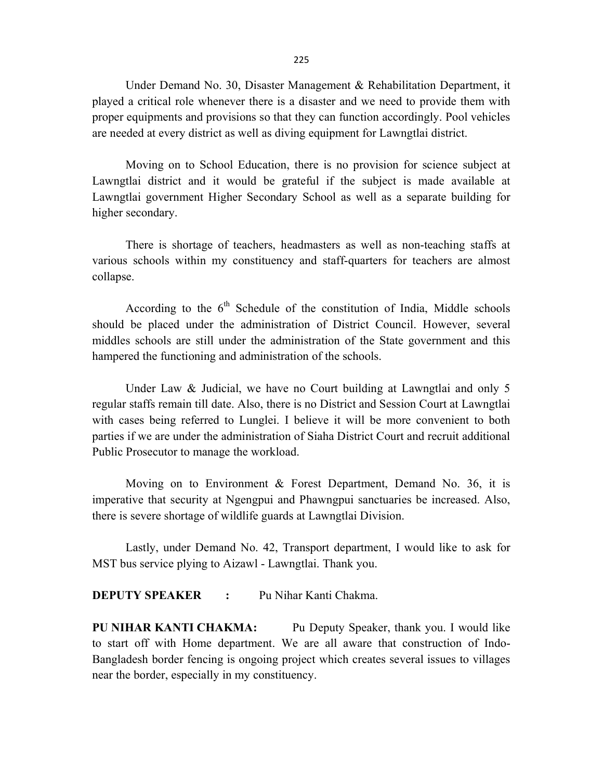Under Demand No. 30, Disaster Management & Rehabilitation Department, it played a critical role whenever there is a disaster and we need to provide them with proper equipments and provisions so that they can function accordingly. Pool vehicles are needed at every district as well as diving equipment for Lawngtlai district.

Moving on to School Education, there is no provision for science subject at Lawngtlai district and it would be grateful if the subject is made available at Lawngtlai government Higher Secondary School as well as a separate building for higher secondary.

There is shortage of teachers, headmasters as well as non-teaching staffs at various schools within my constituency and staff-quarters for teachers are almost collapse.

According to the  $6<sup>th</sup>$  Schedule of the constitution of India, Middle schools should be placed under the administration of District Council. However, several middles schools are still under the administration of the State government and this hampered the functioning and administration of the schools.

Under Law & Judicial, we have no Court building at Lawngtlai and only 5 regular staffs remain till date. Also, there is no District and Session Court at Lawngtlai with cases being referred to Lunglei. I believe it will be more convenient to both parties if we are under the administration of Siaha District Court and recruit additional Public Prosecutor to manage the workload.

Moving on to Environment & Forest Department, Demand No. 36, it is imperative that security at Ngengpui and Phawngpui sanctuaries be increased. Also, there is severe shortage of wildlife guards at Lawngtlai Division.

Lastly, under Demand No. 42, Transport department, I would like to ask for MST bus service plying to Aizawl - Lawngtlai. Thank you.

**DEPUTY SPEAKER : Pu Nihar Kanti Chakma.** 

PU NIHAR KANTI CHAKMA: Pu Deputy Speaker, thank you. I would like to start off with Home department. We are all aware that construction of Indo-Bangladesh border fencing is ongoing project which creates several issues to villages near the border, especially in my constituency.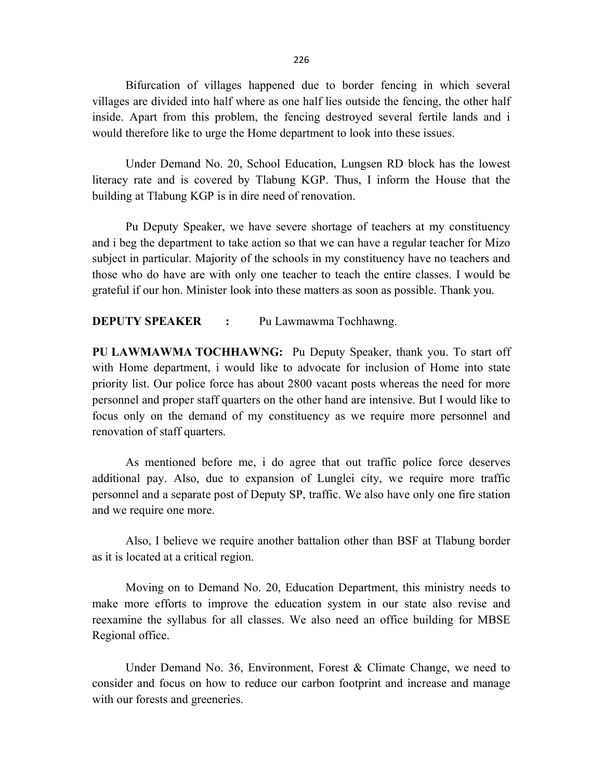Bifurcation of villages happened due to border fencing in which several villages are divided into half where as one half lies outside the fencing, the other half inside. Apart from this problem, the fencing destroyed several fertile lands and i would therefore like to urge the Home department to look into these issues.

Under Demand No. 20, School Education, Lungsen RD block has the lowest literacy rate and is covered by Tlabung KGP. Thus, I inform the House that the building at Tlabung KGP is in dire need of renovation.

Pu Deputy Speaker, we have severe shortage of teachers at my constituency and i beg the department to take action so that we can have a regular teacher for Mizo subject in particular. Majority of the schools in my constituency have no teachers and those who do have are with only one teacher to teach the entire classes. I would be grateful if our hon. Minister look into these matters as soon as possible. Thank you.

DEPUTY SPEAKER : Pu Lawmawma Tochhawng.

PU LAWMAWMA TOCHHAWNG: Pu Deputy Speaker, thank you. To start off with Home department, i would like to advocate for inclusion of Home into state priority list. Our police force has about 2800 vacant posts whereas the need for more personnel and proper staff quarters on the other hand are intensive. But I would like to focus only on the demand of my constituency as we require more personnel and renovation of staff quarters.

As mentioned before me, i do agree that out traffic police force deserves additional pay. Also, due to expansion of Lunglei city, we require more traffic personnel and a separate post of Deputy SP, traffic. We also have only one fire station and we require one more.

Also, I believe we require another battalion other than BSF at Tlabung border as it is located at a critical region.

Moving on to Demand No. 20, Education Department, this ministry needs to make more efforts to improve the education system in our state also revise and reexamine the syllabus for all classes. We also need an office building for MBSE Regional office.

Under Demand No. 36, Environment, Forest & Climate Change, we need to consider and focus on how to reduce our carbon footprint and increase and manage with our forests and greeneries.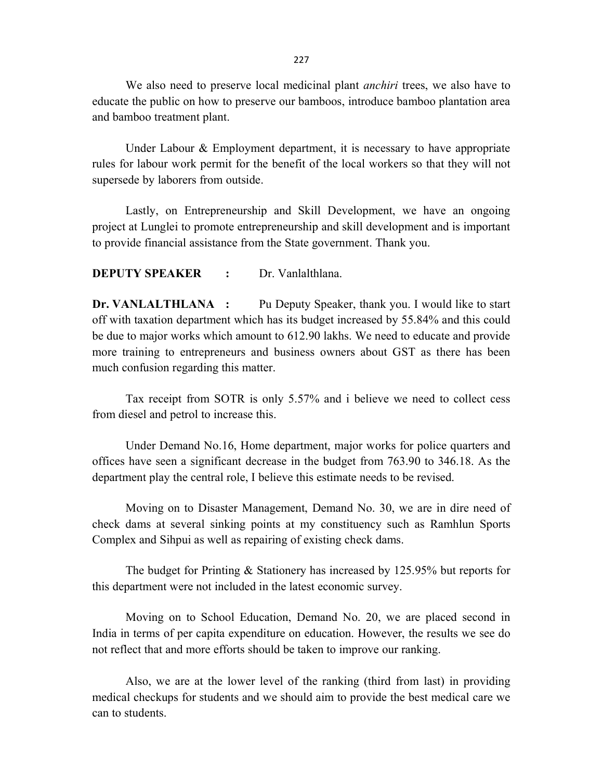We also need to preserve local medicinal plant *anchiri* trees, we also have to educate the public on how to preserve our bamboos, introduce bamboo plantation area and bamboo treatment plant.

Under Labour  $\&$  Employment department, it is necessary to have appropriate rules for labour work permit for the benefit of the local workers so that they will not supersede by laborers from outside.

Lastly, on Entrepreneurship and Skill Development, we have an ongoing project at Lunglei to promote entrepreneurship and skill development and is important to provide financial assistance from the State government. Thank you.

DEPUTY SPEAKER : Dr. Vanlalthlana.

Dr. VANLALTHLANA : Pu Deputy Speaker, thank you. I would like to start off with taxation department which has its budget increased by 55.84% and this could be due to major works which amount to 612.90 lakhs. We need to educate and provide more training to entrepreneurs and business owners about GST as there has been much confusion regarding this matter.

Tax receipt from SOTR is only 5.57% and i believe we need to collect cess from diesel and petrol to increase this.

Under Demand No.16, Home department, major works for police quarters and offices have seen a significant decrease in the budget from 763.90 to 346.18. As the department play the central role, I believe this estimate needs to be revised.

Moving on to Disaster Management, Demand No. 30, we are in dire need of check dams at several sinking points at my constituency such as Ramhlun Sports Complex and Sihpui as well as repairing of existing check dams.

The budget for Printing & Stationery has increased by 125.95% but reports for this department were not included in the latest economic survey.

Moving on to School Education, Demand No. 20, we are placed second in India in terms of per capita expenditure on education. However, the results we see do not reflect that and more efforts should be taken to improve our ranking.

Also, we are at the lower level of the ranking (third from last) in providing medical checkups for students and we should aim to provide the best medical care we can to students.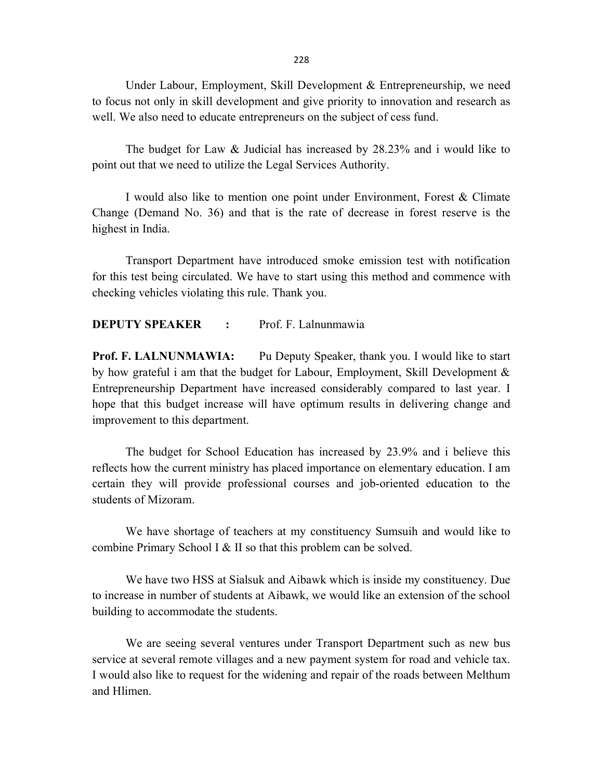Under Labour, Employment, Skill Development & Entrepreneurship, we need to focus not only in skill development and give priority to innovation and research as well. We also need to educate entrepreneurs on the subject of cess fund.

The budget for Law & Judicial has increased by 28.23% and i would like to point out that we need to utilize the Legal Services Authority.

I would also like to mention one point under Environment, Forest & Climate Change (Demand No. 36) and that is the rate of decrease in forest reserve is the highest in India.

Transport Department have introduced smoke emission test with notification for this test being circulated. We have to start using this method and commence with checking vehicles violating this rule. Thank you.

## DEPUTY SPEAKER : Prof. F. Lalnunmawia

Prof. F. LALNUNMAWIA: Pu Deputy Speaker, thank you. I would like to start by how grateful i am that the budget for Labour, Employment, Skill Development & Entrepreneurship Department have increased considerably compared to last year. I hope that this budget increase will have optimum results in delivering change and improvement to this department.

The budget for School Education has increased by 23.9% and i believe this reflects how the current ministry has placed importance on elementary education. I am certain they will provide professional courses and job-oriented education to the students of Mizoram.

We have shortage of teachers at my constituency Sumsuih and would like to combine Primary School I & II so that this problem can be solved.

We have two HSS at Sialsuk and Aibawk which is inside my constituency. Due to increase in number of students at Aibawk, we would like an extension of the school building to accommodate the students.

We are seeing several ventures under Transport Department such as new bus service at several remote villages and a new payment system for road and vehicle tax. I would also like to request for the widening and repair of the roads between Melthum and Hlimen.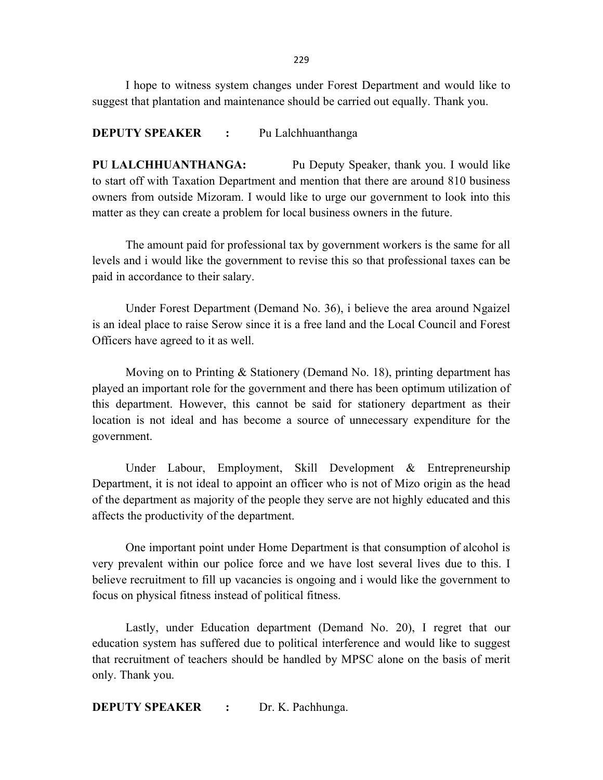I hope to witness system changes under Forest Department and would like to suggest that plantation and maintenance should be carried out equally. Thank you.

#### **DEPUTY SPEAKER** : Pu Lalchhuanthanga

PU LALCHHUANTHANGA: Pu Deputy Speaker, thank you. I would like to start off with Taxation Department and mention that there are around 810 business owners from outside Mizoram. I would like to urge our government to look into this matter as they can create a problem for local business owners in the future.

The amount paid for professional tax by government workers is the same for all levels and i would like the government to revise this so that professional taxes can be paid in accordance to their salary.

Under Forest Department (Demand No. 36), i believe the area around Ngaizel is an ideal place to raise Serow since it is a free land and the Local Council and Forest Officers have agreed to it as well.

Moving on to Printing & Stationery (Demand No. 18), printing department has played an important role for the government and there has been optimum utilization of this department. However, this cannot be said for stationery department as their location is not ideal and has become a source of unnecessary expenditure for the government.

Under Labour, Employment, Skill Development & Entrepreneurship Department, it is not ideal to appoint an officer who is not of Mizo origin as the head of the department as majority of the people they serve are not highly educated and this affects the productivity of the department.

One important point under Home Department is that consumption of alcohol is very prevalent within our police force and we have lost several lives due to this. I believe recruitment to fill up vacancies is ongoing and i would like the government to focus on physical fitness instead of political fitness.

Lastly, under Education department (Demand No. 20), I regret that our education system has suffered due to political interference and would like to suggest that recruitment of teachers should be handled by MPSC alone on the basis of merit only. Thank you.

**DEPUTY SPEAKER : Dr. K. Pachhunga.**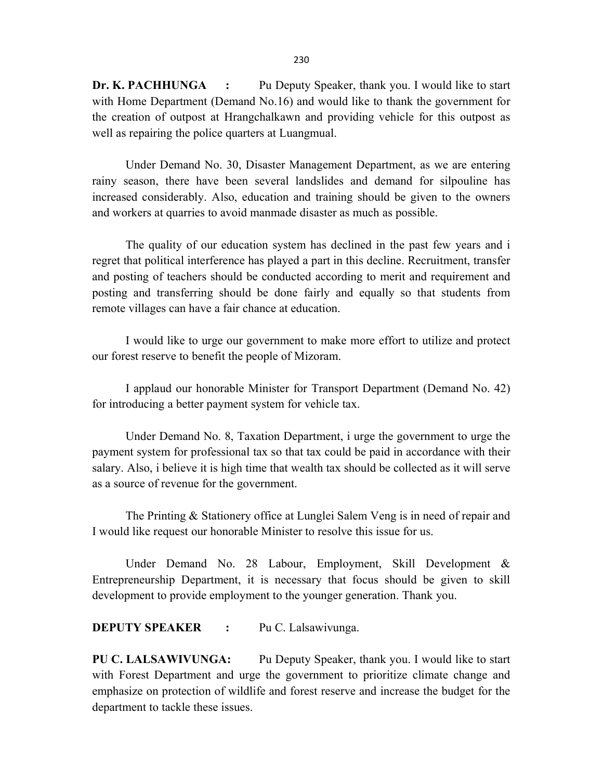Dr. K. PACHHUNGA : Pu Deputy Speaker, thank you. I would like to start with Home Department (Demand No.16) and would like to thank the government for the creation of outpost at Hrangchalkawn and providing vehicle for this outpost as well as repairing the police quarters at Luangmual.

Under Demand No. 30, Disaster Management Department, as we are entering rainy season, there have been several landslides and demand for silpouline has increased considerably. Also, education and training should be given to the owners and workers at quarries to avoid manmade disaster as much as possible.

The quality of our education system has declined in the past few years and i regret that political interference has played a part in this decline. Recruitment, transfer and posting of teachers should be conducted according to merit and requirement and posting and transferring should be done fairly and equally so that students from remote villages can have a fair chance at education.

I would like to urge our government to make more effort to utilize and protect our forest reserve to benefit the people of Mizoram.

I applaud our honorable Minister for Transport Department (Demand No. 42) for introducing a better payment system for vehicle tax.

Under Demand No. 8, Taxation Department, i urge the government to urge the payment system for professional tax so that tax could be paid in accordance with their salary. Also, i believe it is high time that wealth tax should be collected as it will serve as a source of revenue for the government.

The Printing & Stationery office at Lunglei Salem Veng is in need of repair and I would like request our honorable Minister to resolve this issue for us.

Under Demand No. 28 Labour, Employment, Skill Development & Entrepreneurship Department, it is necessary that focus should be given to skill development to provide employment to the younger generation. Thank you.

DEPUTY SPEAKER : Pu C. Lalsawivunga.

PU C. LALSAWIVUNGA: Pu Deputy Speaker, thank you. I would like to start with Forest Department and urge the government to prioritize climate change and emphasize on protection of wildlife and forest reserve and increase the budget for the department to tackle these issues.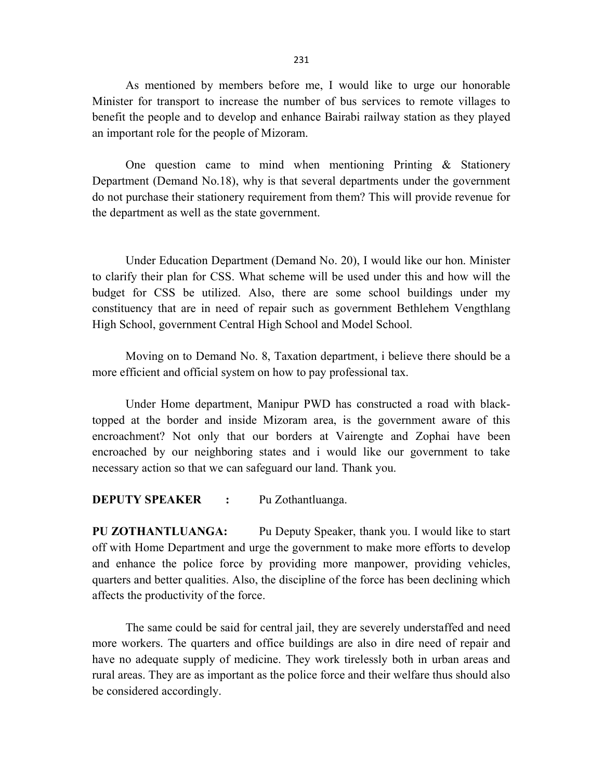As mentioned by members before me, I would like to urge our honorable Minister for transport to increase the number of bus services to remote villages to benefit the people and to develop and enhance Bairabi railway station as they played an important role for the people of Mizoram.

One question came to mind when mentioning Printing & Stationery Department (Demand No.18), why is that several departments under the government do not purchase their stationery requirement from them? This will provide revenue for the department as well as the state government.

Under Education Department (Demand No. 20), I would like our hon. Minister to clarify their plan for CSS. What scheme will be used under this and how will the budget for CSS be utilized. Also, there are some school buildings under my constituency that are in need of repair such as government Bethlehem Vengthlang High School, government Central High School and Model School.

Moving on to Demand No. 8, Taxation department, i believe there should be a more efficient and official system on how to pay professional tax.

Under Home department, Manipur PWD has constructed a road with blacktopped at the border and inside Mizoram area, is the government aware of this encroachment? Not only that our borders at Vairengte and Zophai have been encroached by our neighboring states and i would like our government to take necessary action so that we can safeguard our land. Thank you.

#### DEPUTY SPEAKER : Pu Zothantluanga.

PU ZOTHANTLUANGA: Pu Deputy Speaker, thank you. I would like to start off with Home Department and urge the government to make more efforts to develop and enhance the police force by providing more manpower, providing vehicles, quarters and better qualities. Also, the discipline of the force has been declining which affects the productivity of the force.

The same could be said for central jail, they are severely understaffed and need more workers. The quarters and office buildings are also in dire need of repair and have no adequate supply of medicine. They work tirelessly both in urban areas and rural areas. They are as important as the police force and their welfare thus should also be considered accordingly.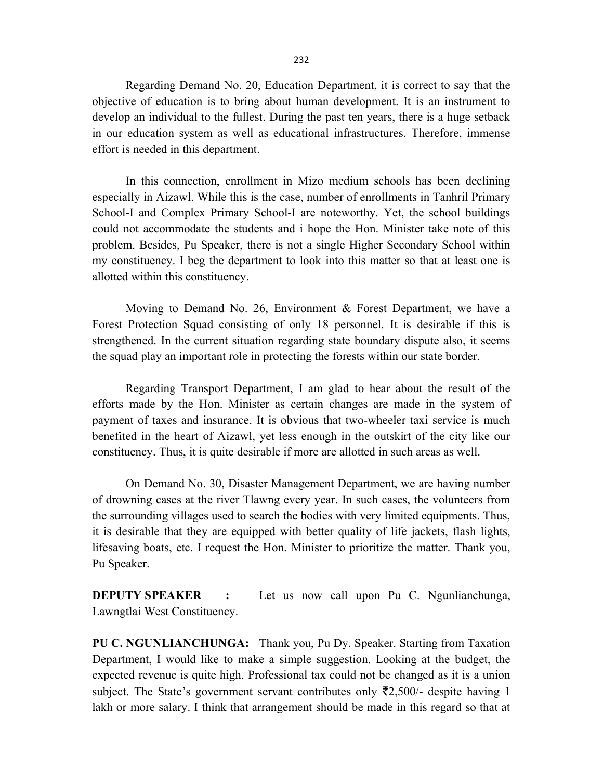Regarding Demand No. 20, Education Department, it is correct to say that the objective of education is to bring about human development. It is an instrument to develop an individual to the fullest. During the past ten years, there is a huge setback in our education system as well as educational infrastructures. Therefore, immense effort is needed in this department.

In this connection, enrollment in Mizo medium schools has been declining especially in Aizawl. While this is the case, number of enrollments in Tanhril Primary School-I and Complex Primary School-I are noteworthy. Yet, the school buildings could not accommodate the students and i hope the Hon. Minister take note of this problem. Besides, Pu Speaker, there is not a single Higher Secondary School within my constituency. I beg the department to look into this matter so that at least one is allotted within this constituency.

Moving to Demand No. 26, Environment & Forest Department, we have a Forest Protection Squad consisting of only 18 personnel. It is desirable if this is strengthened. In the current situation regarding state boundary dispute also, it seems the squad play an important role in protecting the forests within our state border.

Regarding Transport Department, I am glad to hear about the result of the efforts made by the Hon. Minister as certain changes are made in the system of payment of taxes and insurance. It is obvious that two-wheeler taxi service is much benefited in the heart of Aizawl, yet less enough in the outskirt of the city like our constituency. Thus, it is quite desirable if more are allotted in such areas as well.

On Demand No. 30, Disaster Management Department, we are having number of drowning cases at the river Tlawng every year. In such cases, the volunteers from the surrounding villages used to search the bodies with very limited equipments. Thus, it is desirable that they are equipped with better quality of life jackets, flash lights, lifesaving boats, etc. I request the Hon. Minister to prioritize the matter. Thank you, Pu Speaker.

**DEPUTY SPEAKER** : Let us now call upon Pu C. Ngunlianchunga, Lawngtlai West Constituency.

PU C. NGUNLIANCHUNGA: Thank you, Pu Dy. Speaker. Starting from Taxation Department, I would like to make a simple suggestion. Looking at the budget, the expected revenue is quite high. Professional tax could not be changed as it is a union subject. The State's government servant contributes only  $\overline{22,500}$  despite having 1 lakh or more salary. I think that arrangement should be made in this regard so that at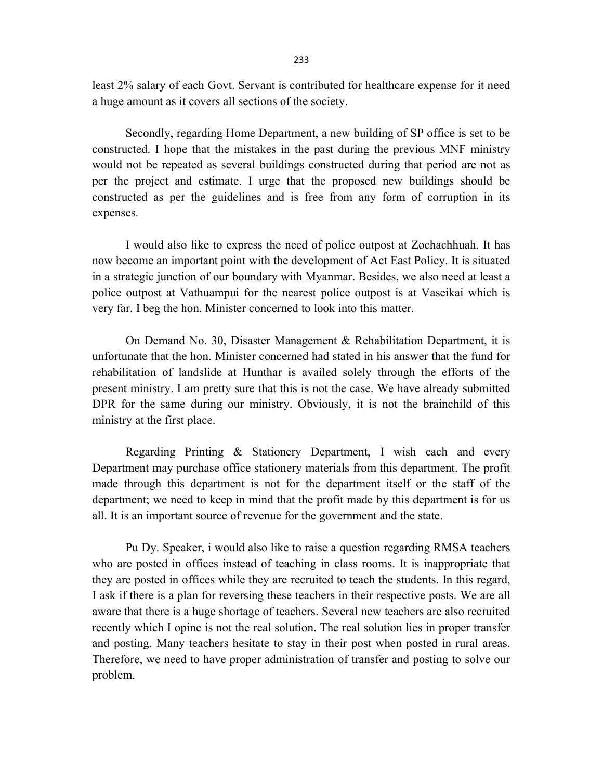least 2% salary of each Govt. Servant is contributed for healthcare expense for it need a huge amount as it covers all sections of the society.

Secondly, regarding Home Department, a new building of SP office is set to be constructed. I hope that the mistakes in the past during the previous MNF ministry would not be repeated as several buildings constructed during that period are not as per the project and estimate. I urge that the proposed new buildings should be constructed as per the guidelines and is free from any form of corruption in its expenses.

I would also like to express the need of police outpost at Zochachhuah. It has now become an important point with the development of Act East Policy. It is situated in a strategic junction of our boundary with Myanmar. Besides, we also need at least a police outpost at Vathuampui for the nearest police outpost is at Vaseikai which is very far. I beg the hon. Minister concerned to look into this matter.

On Demand No. 30, Disaster Management & Rehabilitation Department, it is unfortunate that the hon. Minister concerned had stated in his answer that the fund for rehabilitation of landslide at Hunthar is availed solely through the efforts of the present ministry. I am pretty sure that this is not the case. We have already submitted DPR for the same during our ministry. Obviously, it is not the brainchild of this ministry at the first place.

Regarding Printing & Stationery Department, I wish each and every Department may purchase office stationery materials from this department. The profit made through this department is not for the department itself or the staff of the department; we need to keep in mind that the profit made by this department is for us all. It is an important source of revenue for the government and the state.

Pu Dy. Speaker, i would also like to raise a question regarding RMSA teachers who are posted in offices instead of teaching in class rooms. It is inappropriate that they are posted in offices while they are recruited to teach the students. In this regard, I ask if there is a plan for reversing these teachers in their respective posts. We are all aware that there is a huge shortage of teachers. Several new teachers are also recruited recently which I opine is not the real solution. The real solution lies in proper transfer and posting. Many teachers hesitate to stay in their post when posted in rural areas. Therefore, we need to have proper administration of transfer and posting to solve our problem.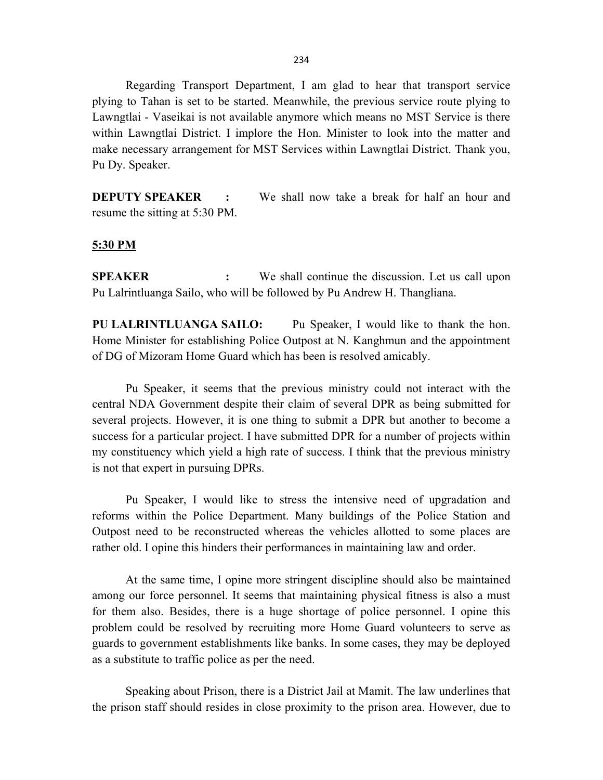Regarding Transport Department, I am glad to hear that transport service plying to Tahan is set to be started. Meanwhile, the previous service route plying to Lawngtlai - Vaseikai is not available anymore which means no MST Service is there within Lawngtlai District. I implore the Hon. Minister to look into the matter and make necessary arrangement for MST Services within Lawngtlai District. Thank you, Pu Dy. Speaker.

DEPUTY SPEAKER : We shall now take a break for half an hour and resume the sitting at 5:30 PM.

#### 5:30 PM

SPEAKER : We shall continue the discussion. Let us call upon Pu Lalrintluanga Sailo, who will be followed by Pu Andrew H. Thangliana.

PU LALRINTLUANGA SAILO: Pu Speaker, I would like to thank the hon. Home Minister for establishing Police Outpost at N. Kanghmun and the appointment of DG of Mizoram Home Guard which has been is resolved amicably.

Pu Speaker, it seems that the previous ministry could not interact with the central NDA Government despite their claim of several DPR as being submitted for several projects. However, it is one thing to submit a DPR but another to become a success for a particular project. I have submitted DPR for a number of projects within my constituency which yield a high rate of success. I think that the previous ministry is not that expert in pursuing DPRs.

Pu Speaker, I would like to stress the intensive need of upgradation and reforms within the Police Department. Many buildings of the Police Station and Outpost need to be reconstructed whereas the vehicles allotted to some places are rather old. I opine this hinders their performances in maintaining law and order.

At the same time, I opine more stringent discipline should also be maintained among our force personnel. It seems that maintaining physical fitness is also a must for them also. Besides, there is a huge shortage of police personnel. I opine this problem could be resolved by recruiting more Home Guard volunteers to serve as guards to government establishments like banks. In some cases, they may be deployed as a substitute to traffic police as per the need.

Speaking about Prison, there is a District Jail at Mamit. The law underlines that the prison staff should resides in close proximity to the prison area. However, due to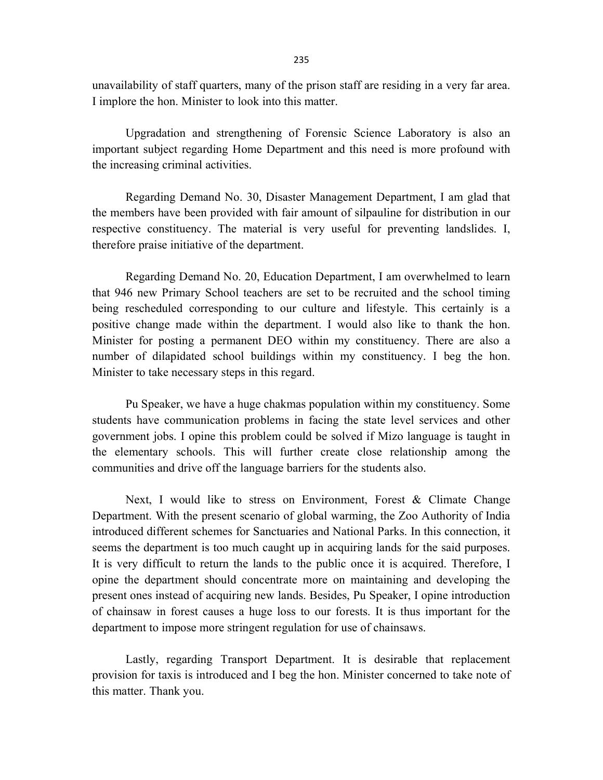unavailability of staff quarters, many of the prison staff are residing in a very far area. I implore the hon. Minister to look into this matter.

Upgradation and strengthening of Forensic Science Laboratory is also an important subject regarding Home Department and this need is more profound with the increasing criminal activities.

Regarding Demand No. 30, Disaster Management Department, I am glad that the members have been provided with fair amount of silpauline for distribution in our respective constituency. The material is very useful for preventing landslides. I, therefore praise initiative of the department.

Regarding Demand No. 20, Education Department, I am overwhelmed to learn that 946 new Primary School teachers are set to be recruited and the school timing being rescheduled corresponding to our culture and lifestyle. This certainly is a positive change made within the department. I would also like to thank the hon. Minister for posting a permanent DEO within my constituency. There are also a number of dilapidated school buildings within my constituency. I beg the hon. Minister to take necessary steps in this regard.

Pu Speaker, we have a huge chakmas population within my constituency. Some students have communication problems in facing the state level services and other government jobs. I opine this problem could be solved if Mizo language is taught in the elementary schools. This will further create close relationship among the communities and drive off the language barriers for the students also.

Next, I would like to stress on Environment, Forest & Climate Change Department. With the present scenario of global warming, the Zoo Authority of India introduced different schemes for Sanctuaries and National Parks. In this connection, it seems the department is too much caught up in acquiring lands for the said purposes. It is very difficult to return the lands to the public once it is acquired. Therefore, I opine the department should concentrate more on maintaining and developing the present ones instead of acquiring new lands. Besides, Pu Speaker, I opine introduction of chainsaw in forest causes a huge loss to our forests. It is thus important for the department to impose more stringent regulation for use of chainsaws.

Lastly, regarding Transport Department. It is desirable that replacement provision for taxis is introduced and I beg the hon. Minister concerned to take note of this matter. Thank you.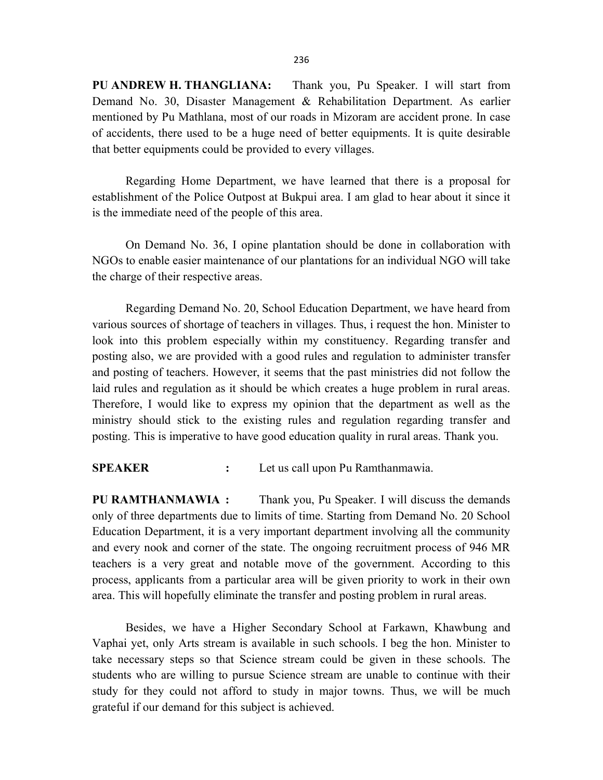PU ANDREW H. THANGLIANA: Thank you, Pu Speaker. I will start from Demand No. 30, Disaster Management & Rehabilitation Department. As earlier mentioned by Pu Mathlana, most of our roads in Mizoram are accident prone. In case of accidents, there used to be a huge need of better equipments. It is quite desirable that better equipments could be provided to every villages.

Regarding Home Department, we have learned that there is a proposal for establishment of the Police Outpost at Bukpui area. I am glad to hear about it since it is the immediate need of the people of this area.

On Demand No. 36, I opine plantation should be done in collaboration with NGOs to enable easier maintenance of our plantations for an individual NGO will take the charge of their respective areas.

Regarding Demand No. 20, School Education Department, we have heard from various sources of shortage of teachers in villages. Thus, i request the hon. Minister to look into this problem especially within my constituency. Regarding transfer and posting also, we are provided with a good rules and regulation to administer transfer and posting of teachers. However, it seems that the past ministries did not follow the laid rules and regulation as it should be which creates a huge problem in rural areas. Therefore, I would like to express my opinion that the department as well as the ministry should stick to the existing rules and regulation regarding transfer and posting. This is imperative to have good education quality in rural areas. Thank you.

SPEAKER : Let us call upon Pu Ramthanmawia.

PU RAMTHANMAWIA : Thank you, Pu Speaker. I will discuss the demands only of three departments due to limits of time. Starting from Demand No. 20 School Education Department, it is a very important department involving all the community and every nook and corner of the state. The ongoing recruitment process of 946 MR teachers is a very great and notable move of the government. According to this process, applicants from a particular area will be given priority to work in their own area. This will hopefully eliminate the transfer and posting problem in rural areas.

Besides, we have a Higher Secondary School at Farkawn, Khawbung and Vaphai yet, only Arts stream is available in such schools. I beg the hon. Minister to take necessary steps so that Science stream could be given in these schools. The students who are willing to pursue Science stream are unable to continue with their study for they could not afford to study in major towns. Thus, we will be much grateful if our demand for this subject is achieved.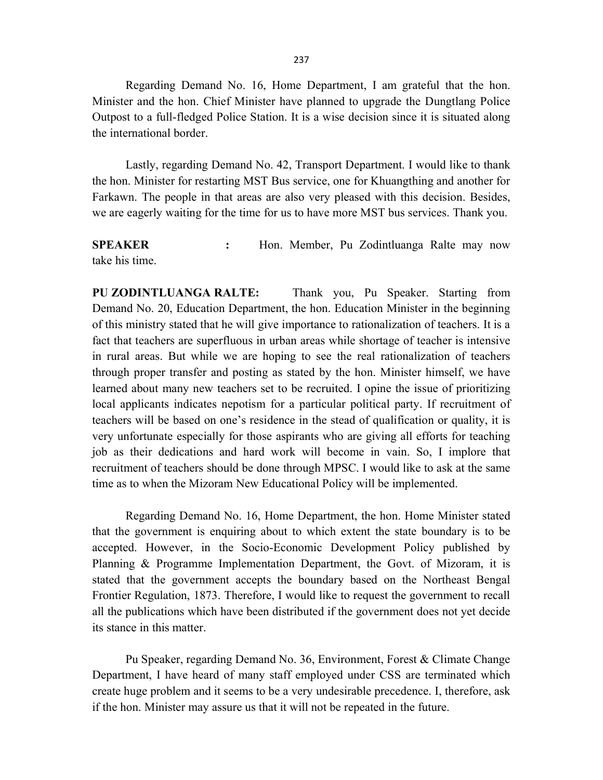Regarding Demand No. 16, Home Department, I am grateful that the hon. Minister and the hon. Chief Minister have planned to upgrade the Dungtlang Police Outpost to a full-fledged Police Station. It is a wise decision since it is situated along the international border.

Lastly, regarding Demand No. 42, Transport Department. I would like to thank the hon. Minister for restarting MST Bus service, one for Khuangthing and another for Farkawn. The people in that areas are also very pleased with this decision. Besides, we are eagerly waiting for the time for us to have more MST bus services. Thank you.

SPEAKER : Hon. Member, Pu Zodintluanga Ralte may now take his time.

PU ZODINTLUANGA RALTE: Thank you, Pu Speaker. Starting from Demand No. 20, Education Department, the hon. Education Minister in the beginning of this ministry stated that he will give importance to rationalization of teachers. It is a fact that teachers are superfluous in urban areas while shortage of teacher is intensive in rural areas. But while we are hoping to see the real rationalization of teachers through proper transfer and posting as stated by the hon. Minister himself, we have learned about many new teachers set to be recruited. I opine the issue of prioritizing local applicants indicates nepotism for a particular political party. If recruitment of teachers will be based on one's residence in the stead of qualification or quality, it is very unfortunate especially for those aspirants who are giving all efforts for teaching job as their dedications and hard work will become in vain. So, I implore that recruitment of teachers should be done through MPSC. I would like to ask at the same time as to when the Mizoram New Educational Policy will be implemented.

Regarding Demand No. 16, Home Department, the hon. Home Minister stated that the government is enquiring about to which extent the state boundary is to be accepted. However, in the Socio-Economic Development Policy published by Planning & Programme Implementation Department, the Govt. of Mizoram, it is stated that the government accepts the boundary based on the Northeast Bengal Frontier Regulation, 1873. Therefore, I would like to request the government to recall all the publications which have been distributed if the government does not yet decide its stance in this matter.

Pu Speaker, regarding Demand No. 36, Environment, Forest & Climate Change Department, I have heard of many staff employed under CSS are terminated which create huge problem and it seems to be a very undesirable precedence. I, therefore, ask if the hon. Minister may assure us that it will not be repeated in the future.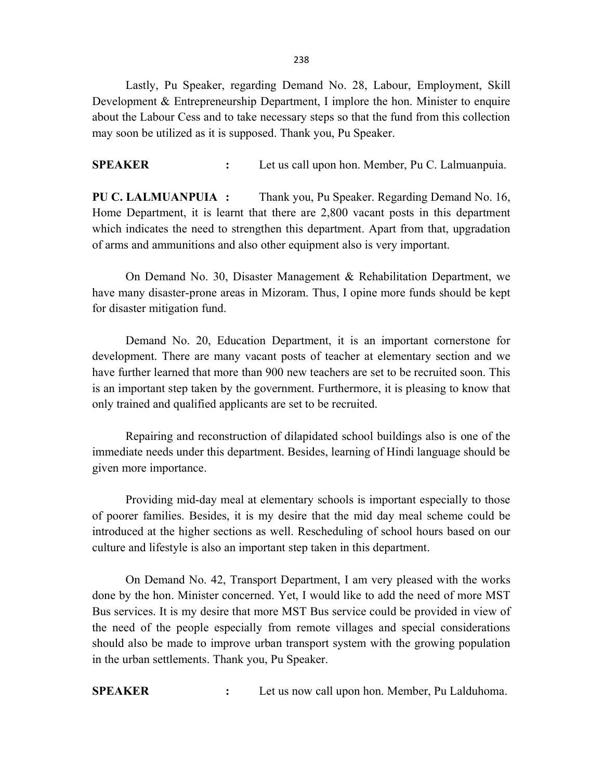Lastly, Pu Speaker, regarding Demand No. 28, Labour, Employment, Skill Development & Entrepreneurship Department, I implore the hon. Minister to enquire about the Labour Cess and to take necessary steps so that the fund from this collection may soon be utilized as it is supposed. Thank you, Pu Speaker.

SPEAKER : Let us call upon hon. Member, Pu C. Lalmuanpuia.

PU C. LALMUANPUIA : Thank you, Pu Speaker. Regarding Demand No. 16, Home Department, it is learnt that there are 2,800 vacant posts in this department which indicates the need to strengthen this department. Apart from that, upgradation of arms and ammunitions and also other equipment also is very important.

On Demand No. 30, Disaster Management & Rehabilitation Department, we have many disaster-prone areas in Mizoram. Thus, I opine more funds should be kept for disaster mitigation fund.

Demand No. 20, Education Department, it is an important cornerstone for development. There are many vacant posts of teacher at elementary section and we have further learned that more than 900 new teachers are set to be recruited soon. This is an important step taken by the government. Furthermore, it is pleasing to know that only trained and qualified applicants are set to be recruited.

Repairing and reconstruction of dilapidated school buildings also is one of the immediate needs under this department. Besides, learning of Hindi language should be given more importance.

Providing mid-day meal at elementary schools is important especially to those of poorer families. Besides, it is my desire that the mid day meal scheme could be introduced at the higher sections as well. Rescheduling of school hours based on our culture and lifestyle is also an important step taken in this department.

On Demand No. 42, Transport Department, I am very pleased with the works done by the hon. Minister concerned. Yet, I would like to add the need of more MST Bus services. It is my desire that more MST Bus service could be provided in view of the need of the people especially from remote villages and special considerations should also be made to improve urban transport system with the growing population in the urban settlements. Thank you, Pu Speaker.

SPEAKER : Let us now call upon hon. Member, Pu Lalduhoma.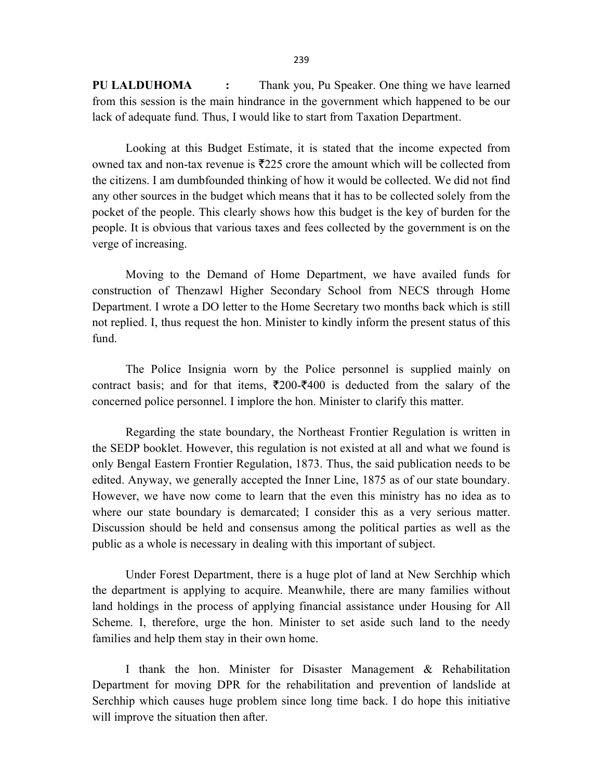PU LALDUHOMA : Thank you, Pu Speaker. One thing we have learned from this session is the main hindrance in the government which happened to be our lack of adequate fund. Thus, I would like to start from Taxation Department.

 Looking at this Budget Estimate, it is stated that the income expected from owned tax and non-tax revenue is  $\overline{2225}$  crore the amount which will be collected from the citizens. I am dumbfounded thinking of how it would be collected. We did not find any other sources in the budget which means that it has to be collected solely from the pocket of the people. This clearly shows how this budget is the key of burden for the people. It is obvious that various taxes and fees collected by the government is on the verge of increasing.

Moving to the Demand of Home Department, we have availed funds for construction of Thenzawl Higher Secondary School from NECS through Home Department. I wrote a DO letter to the Home Secretary two months back which is still not replied. I, thus request the hon. Minister to kindly inform the present status of this fund.

The Police Insignia worn by the Police personnel is supplied mainly on contract basis; and for that items,  $\overline{\xi}200-\overline{\xi}400$  is deducted from the salary of the concerned police personnel. I implore the hon. Minister to clarify this matter.

Regarding the state boundary, the Northeast Frontier Regulation is written in the SEDP booklet. However, this regulation is not existed at all and what we found is only Bengal Eastern Frontier Regulation, 1873. Thus, the said publication needs to be edited. Anyway, we generally accepted the Inner Line, 1875 as of our state boundary. However, we have now come to learn that the even this ministry has no idea as to where our state boundary is demarcated; I consider this as a very serious matter. Discussion should be held and consensus among the political parties as well as the public as a whole is necessary in dealing with this important of subject.

Under Forest Department, there is a huge plot of land at New Serchhip which the department is applying to acquire. Meanwhile, there are many families without land holdings in the process of applying financial assistance under Housing for All Scheme. I, therefore, urge the hon. Minister to set aside such land to the needy families and help them stay in their own home.

I thank the hon. Minister for Disaster Management & Rehabilitation Department for moving DPR for the rehabilitation and prevention of landslide at Serchhip which causes huge problem since long time back. I do hope this initiative will improve the situation then after.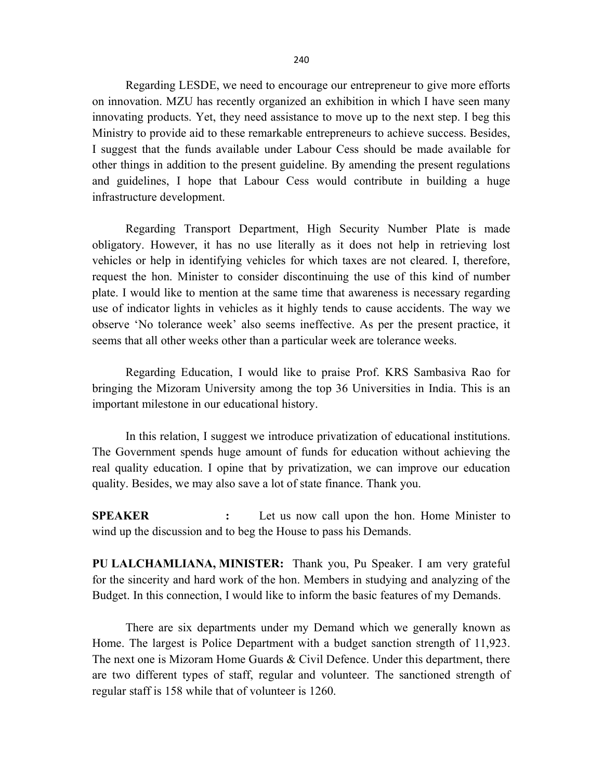Regarding LESDE, we need to encourage our entrepreneur to give more efforts on innovation. MZU has recently organized an exhibition in which I have seen many innovating products. Yet, they need assistance to move up to the next step. I beg this Ministry to provide aid to these remarkable entrepreneurs to achieve success. Besides, I suggest that the funds available under Labour Cess should be made available for other things in addition to the present guideline. By amending the present regulations and guidelines, I hope that Labour Cess would contribute in building a huge infrastructure development.

Regarding Transport Department, High Security Number Plate is made obligatory. However, it has no use literally as it does not help in retrieving lost vehicles or help in identifying vehicles for which taxes are not cleared. I, therefore, request the hon. Minister to consider discontinuing the use of this kind of number plate. I would like to mention at the same time that awareness is necessary regarding use of indicator lights in vehicles as it highly tends to cause accidents. The way we observe 'No tolerance week' also seems ineffective. As per the present practice, it seems that all other weeks other than a particular week are tolerance weeks.

Regarding Education, I would like to praise Prof. KRS Sambasiva Rao for bringing the Mizoram University among the top 36 Universities in India. This is an important milestone in our educational history.

In this relation, I suggest we introduce privatization of educational institutions. The Government spends huge amount of funds for education without achieving the real quality education. I opine that by privatization, we can improve our education quality. Besides, we may also save a lot of state finance. Thank you.

SPEAKER : Let us now call upon the hon. Home Minister to wind up the discussion and to beg the House to pass his Demands.

PU LALCHAMLIANA, MINISTER: Thank you, Pu Speaker. I am very grateful for the sincerity and hard work of the hon. Members in studying and analyzing of the Budget. In this connection, I would like to inform the basic features of my Demands.

 There are six departments under my Demand which we generally known as Home. The largest is Police Department with a budget sanction strength of 11,923. The next one is Mizoram Home Guards & Civil Defence. Under this department, there are two different types of staff, regular and volunteer. The sanctioned strength of regular staff is 158 while that of volunteer is 1260.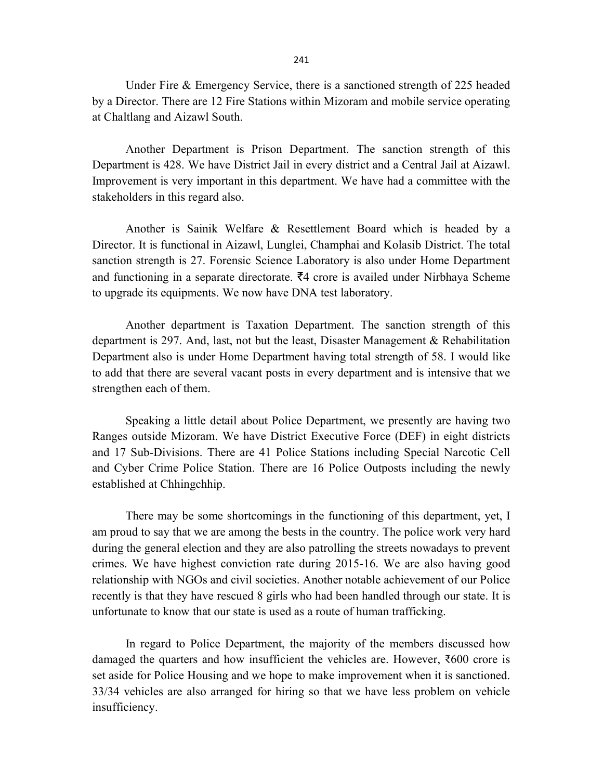Under Fire & Emergency Service, there is a sanctioned strength of 225 headed by a Director. There are 12 Fire Stations within Mizoram and mobile service operating at Chaltlang and Aizawl South.

Another Department is Prison Department. The sanction strength of this Department is 428. We have District Jail in every district and a Central Jail at Aizawl. Improvement is very important in this department. We have had a committee with the stakeholders in this regard also.

Another is Sainik Welfare & Resettlement Board which is headed by a Director. It is functional in Aizawl, Lunglei, Champhai and Kolasib District. The total sanction strength is 27. Forensic Science Laboratory is also under Home Department and functioning in a separate directorate.  $\bar{z}4$  crore is availed under Nirbhaya Scheme to upgrade its equipments. We now have DNA test laboratory.

Another department is Taxation Department. The sanction strength of this department is 297. And, last, not but the least, Disaster Management & Rehabilitation Department also is under Home Department having total strength of 58. I would like to add that there are several vacant posts in every department and is intensive that we strengthen each of them.

Speaking a little detail about Police Department, we presently are having two Ranges outside Mizoram. We have District Executive Force (DEF) in eight districts and 17 Sub-Divisions. There are 41 Police Stations including Special Narcotic Cell and Cyber Crime Police Station. There are 16 Police Outposts including the newly established at Chhingchhip.

There may be some shortcomings in the functioning of this department, yet, I am proud to say that we are among the bests in the country. The police work very hard during the general election and they are also patrolling the streets nowadays to prevent crimes. We have highest conviction rate during 2015-16. We are also having good relationship with NGOs and civil societies. Another notable achievement of our Police recently is that they have rescued 8 girls who had been handled through our state. It is unfortunate to know that our state is used as a route of human trafficking.

 In regard to Police Department, the majority of the members discussed how damaged the quarters and how insufficient the vehicles are. However,  $\overline{\xi}600$  crore is set aside for Police Housing and we hope to make improvement when it is sanctioned. 33/34 vehicles are also arranged for hiring so that we have less problem on vehicle insufficiency.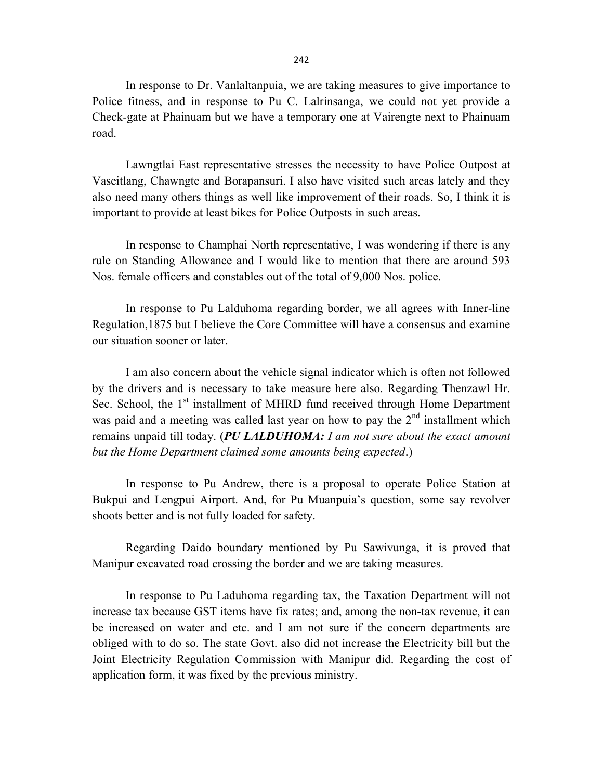In response to Dr. Vanlaltanpuia, we are taking measures to give importance to Police fitness, and in response to Pu C. Lalrinsanga, we could not yet provide a Check-gate at Phainuam but we have a temporary one at Vairengte next to Phainuam road.

Lawngtlai East representative stresses the necessity to have Police Outpost at Vaseitlang, Chawngte and Borapansuri. I also have visited such areas lately and they also need many others things as well like improvement of their roads. So, I think it is important to provide at least bikes for Police Outposts in such areas.

In response to Champhai North representative, I was wondering if there is any rule on Standing Allowance and I would like to mention that there are around 593 Nos. female officers and constables out of the total of 9,000 Nos. police.

In response to Pu Lalduhoma regarding border, we all agrees with Inner-line Regulation,1875 but I believe the Core Committee will have a consensus and examine our situation sooner or later.

I am also concern about the vehicle signal indicator which is often not followed by the drivers and is necessary to take measure here also. Regarding Thenzawl Hr. Sec. School, the  $1<sup>st</sup>$  installment of MHRD fund received through Home Department was paid and a meeting was called last year on how to pay the  $2<sup>nd</sup>$  installment which remains unpaid till today. (PU LALDUHOMA: I am not sure about the exact amount but the Home Department claimed some amounts being expected.)

In response to Pu Andrew, there is a proposal to operate Police Station at Bukpui and Lengpui Airport. And, for Pu Muanpuia's question, some say revolver shoots better and is not fully loaded for safety.

Regarding Daido boundary mentioned by Pu Sawivunga, it is proved that Manipur excavated road crossing the border and we are taking measures.

In response to Pu Laduhoma regarding tax, the Taxation Department will not increase tax because GST items have fix rates; and, among the non-tax revenue, it can be increased on water and etc. and I am not sure if the concern departments are obliged with to do so. The state Govt. also did not increase the Electricity bill but the Joint Electricity Regulation Commission with Manipur did. Regarding the cost of application form, it was fixed by the previous ministry.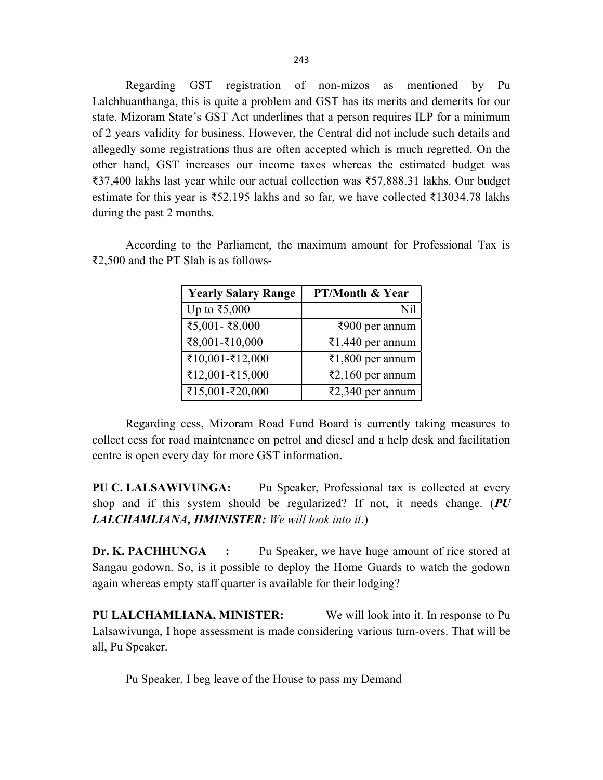Regarding GST registration of non-mizos as mentioned by Pu Lalchhuanthanga, this is quite a problem and GST has its merits and demerits for our state. Mizoram State's GST Act underlines that a person requires ILP for a minimum of 2 years validity for business. However, the Central did not include such details and allegedly some registrations thus are often accepted which is much regretted. On the other hand, GST increases our income taxes whereas the estimated budget was ₹37,400 lakhs last year while our actual collection was ₹57,888.31 lakhs. Our budget estimate for this year is ₹52,195 lakhs and so far, we have collected ₹13034.78 lakhs during the past 2 months.

According to the Parliament, the maximum amount for Professional Tax is ₹2,500 and the PT Slab is as follows-

| <b>Yearly Salary Range</b> | <b>PT/Month &amp; Year</b> |
|----------------------------|----------------------------|
| Up to ₹5,000               | Nil                        |
| ₹5,001 - ₹8,000            | ₹900 per annum             |
| ₹8,001-₹10,000             | ₹1,440 per annum           |
| ₹10,001-₹12,000            | ₹1,800 per annum           |
| ₹12,001-₹15,000            | ₹2,160 per annum           |
| ₹15,001-₹20,000            | ₹2,340 per annum           |

Regarding cess, Mizoram Road Fund Board is currently taking measures to collect cess for road maintenance on petrol and diesel and a help desk and facilitation centre is open every day for more GST information.

PU C. LALSAWIVUNGA: Pu Speaker, Professional tax is collected at every shop and if this system should be regularized? If not, it needs change.  $(PU$ LALCHAMLIANA, HMINISTER: We will look into it.)

Dr. K. PACHHUNGA : Pu Speaker, we have huge amount of rice stored at Sangau godown. So, is it possible to deploy the Home Guards to watch the godown again whereas empty staff quarter is available for their lodging?

PU LALCHAMLIANA, MINISTER: We will look into it. In response to Pu Lalsawivunga, I hope assessment is made considering various turn-overs. That will be all, Pu Speaker.

Pu Speaker, I beg leave of the House to pass my Demand –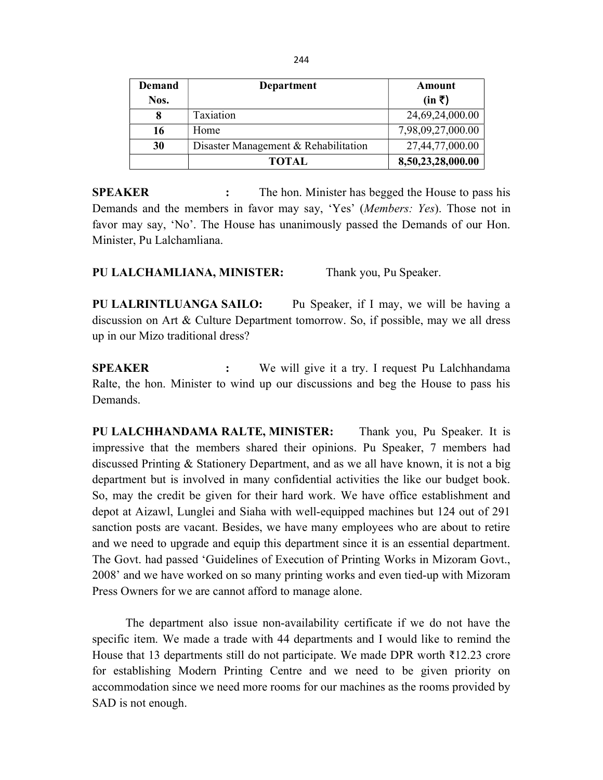| Demand                                     | Department   | Amount                  |
|--------------------------------------------|--------------|-------------------------|
| Nos.                                       |              | $(in \; \bar{\bar{z}})$ |
| 8                                          | Taxiation    | 24,69,24,000.00         |
| 16                                         | Home         | 7,98,09,27,000.00       |
| Disaster Management & Rehabilitation<br>30 |              | 27,44,77,000.00         |
|                                            | <b>TOTAL</b> | 8,50,23,28,000.00       |

SPEAKER : The hon. Minister has begged the House to pass his Demands and the members in favor may say, 'Yes' (Members: Yes). Those not in favor may say, 'No'. The House has unanimously passed the Demands of our Hon. Minister, Pu Lalchamliana.

PU LALCHAMLIANA, MINISTER: Thank you, Pu Speaker.

PU LALRINTLUANGA SAILO: Pu Speaker, if I may, we will be having a discussion on Art & Culture Department tomorrow. So, if possible, may we all dress up in our Mizo traditional dress?

SPEAKER : We will give it a try. I request Pu Lalchhandama Ralte, the hon. Minister to wind up our discussions and beg the House to pass his Demands.

PU LALCHHANDAMA RALTE, MINISTER: Thank you, Pu Speaker. It is impressive that the members shared their opinions. Pu Speaker, 7 members had discussed Printing & Stationery Department, and as we all have known, it is not a big department but is involved in many confidential activities the like our budget book. So, may the credit be given for their hard work. We have office establishment and depot at Aizawl, Lunglei and Siaha with well-equipped machines but 124 out of 291 sanction posts are vacant. Besides, we have many employees who are about to retire and we need to upgrade and equip this department since it is an essential department. The Govt. had passed 'Guidelines of Execution of Printing Works in Mizoram Govt., 2008' and we have worked on so many printing works and even tied-up with Mizoram Press Owners for we are cannot afford to manage alone.

The department also issue non-availability certificate if we do not have the specific item. We made a trade with 44 departments and I would like to remind the House that 13 departments still do not participate. We made DPR worth ₹12.23 crore for establishing Modern Printing Centre and we need to be given priority on accommodation since we need more rooms for our machines as the rooms provided by SAD is not enough.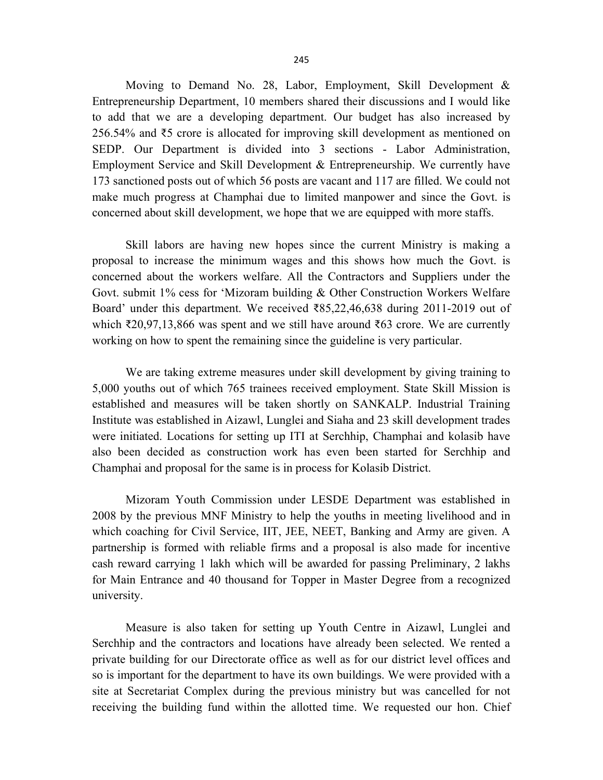Moving to Demand No. 28, Labor, Employment, Skill Development & Entrepreneurship Department, 10 members shared their discussions and I would like to add that we are a developing department. Our budget has also increased by 256.54% and ₹5 crore is allocated for improving skill development as mentioned on SEDP. Our Department is divided into 3 sections - Labor Administration, Employment Service and Skill Development & Entrepreneurship. We currently have 173 sanctioned posts out of which 56 posts are vacant and 117 are filled. We could not make much progress at Champhai due to limited manpower and since the Govt. is concerned about skill development, we hope that we are equipped with more staffs.

Skill labors are having new hopes since the current Ministry is making a proposal to increase the minimum wages and this shows how much the Govt. is concerned about the workers welfare. All the Contractors and Suppliers under the Govt. submit 1% cess for 'Mizoram building & Other Construction Workers Welfare Board' under this department. We received ₹85,22,46,638 during 2011-2019 out of which ₹20,97,13,866 was spent and we still have around ₹63 crore. We are currently working on how to spent the remaining since the guideline is very particular.

We are taking extreme measures under skill development by giving training to 5,000 youths out of which 765 trainees received employment. State Skill Mission is established and measures will be taken shortly on SANKALP. Industrial Training Institute was established in Aizawl, Lunglei and Siaha and 23 skill development trades were initiated. Locations for setting up ITI at Serchhip, Champhai and kolasib have also been decided as construction work has even been started for Serchhip and Champhai and proposal for the same is in process for Kolasib District.

Mizoram Youth Commission under LESDE Department was established in 2008 by the previous MNF Ministry to help the youths in meeting livelihood and in which coaching for Civil Service, IIT, JEE, NEET, Banking and Army are given. A partnership is formed with reliable firms and a proposal is also made for incentive cash reward carrying 1 lakh which will be awarded for passing Preliminary, 2 lakhs for Main Entrance and 40 thousand for Topper in Master Degree from a recognized university.

Measure is also taken for setting up Youth Centre in Aizawl, Lunglei and Serchhip and the contractors and locations have already been selected. We rented a private building for our Directorate office as well as for our district level offices and so is important for the department to have its own buildings. We were provided with a site at Secretariat Complex during the previous ministry but was cancelled for not receiving the building fund within the allotted time. We requested our hon. Chief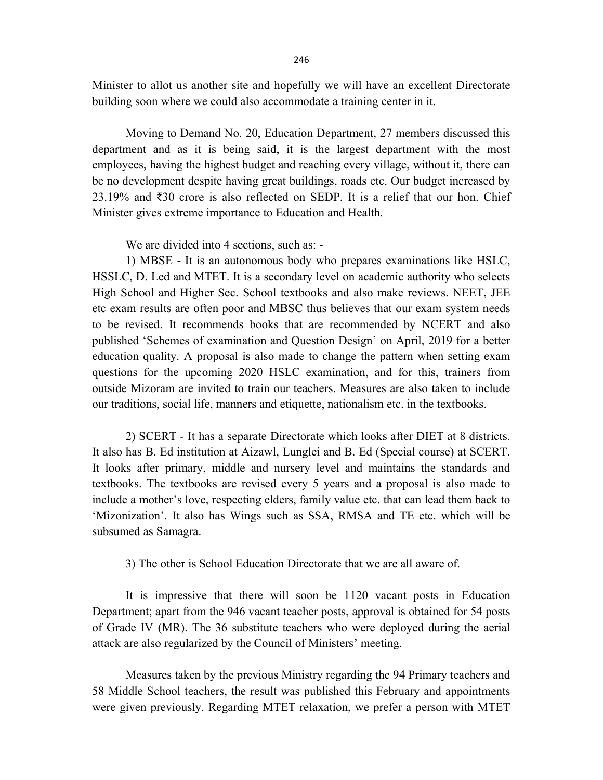Minister to allot us another site and hopefully we will have an excellent Directorate building soon where we could also accommodate a training center in it.

Moving to Demand No. 20, Education Department, 27 members discussed this department and as it is being said, it is the largest department with the most employees, having the highest budget and reaching every village, without it, there can be no development despite having great buildings, roads etc. Our budget increased by 23.19% and ₹30 crore is also reflected on SEDP. It is a relief that our hon. Chief Minister gives extreme importance to Education and Health.

We are divided into 4 sections, such as: -

1) MBSE - It is an autonomous body who prepares examinations like HSLC, HSSLC, D. Led and MTET. It is a secondary level on academic authority who selects High School and Higher Sec. School textbooks and also make reviews. NEET, JEE etc exam results are often poor and MBSC thus believes that our exam system needs to be revised. It recommends books that are recommended by NCERT and also published 'Schemes of examination and Question Design' on April, 2019 for a better education quality. A proposal is also made to change the pattern when setting exam questions for the upcoming 2020 HSLC examination, and for this, trainers from outside Mizoram are invited to train our teachers. Measures are also taken to include our traditions, social life, manners and etiquette, nationalism etc. in the textbooks.

2) SCERT - It has a separate Directorate which looks after DIET at 8 districts. It also has B. Ed institution at Aizawl, Lunglei and B. Ed (Special course) at SCERT. It looks after primary, middle and nursery level and maintains the standards and textbooks. The textbooks are revised every 5 years and a proposal is also made to include a mother's love, respecting elders, family value etc. that can lead them back to 'Mizonization'. It also has Wings such as SSA, RMSA and TE etc. which will be subsumed as Samagra.

3) The other is School Education Directorate that we are all aware of.

It is impressive that there will soon be 1120 vacant posts in Education Department; apart from the 946 vacant teacher posts, approval is obtained for 54 posts of Grade IV (MR). The 36 substitute teachers who were deployed during the aerial attack are also regularized by the Council of Ministers' meeting.

Measures taken by the previous Ministry regarding the 94 Primary teachers and 58 Middle School teachers, the result was published this February and appointments were given previously. Regarding MTET relaxation, we prefer a person with MTET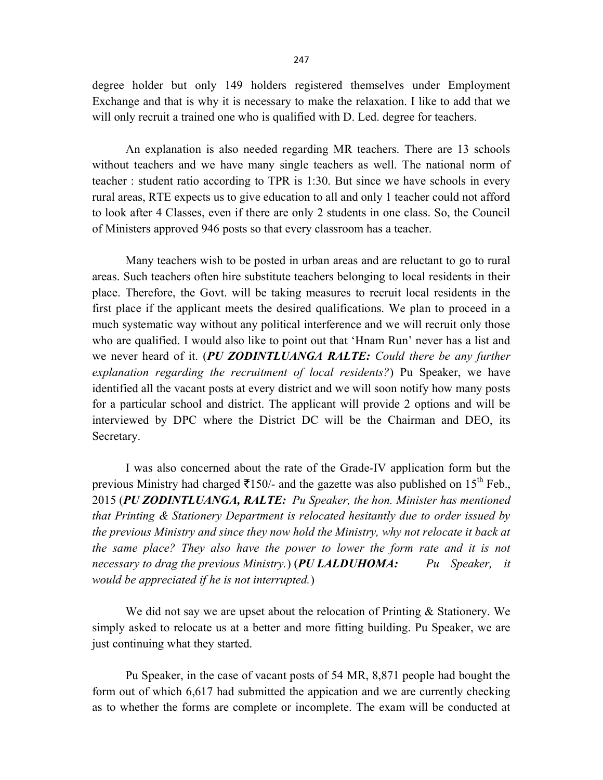degree holder but only 149 holders registered themselves under Employment Exchange and that is why it is necessary to make the relaxation. I like to add that we will only recruit a trained one who is qualified with D. Led. degree for teachers.

An explanation is also needed regarding MR teachers. There are 13 schools without teachers and we have many single teachers as well. The national norm of teacher : student ratio according to TPR is 1:30. But since we have schools in every rural areas, RTE expects us to give education to all and only 1 teacher could not afford to look after 4 Classes, even if there are only 2 students in one class. So, the Council of Ministers approved 946 posts so that every classroom has a teacher.

Many teachers wish to be posted in urban areas and are reluctant to go to rural areas. Such teachers often hire substitute teachers belonging to local residents in their place. Therefore, the Govt. will be taking measures to recruit local residents in the first place if the applicant meets the desired qualifications. We plan to proceed in a much systematic way without any political interference and we will recruit only those who are qualified. I would also like to point out that 'Hnam Run' never has a list and we never heard of it. (PU ZODINTLUANGA RALTE: Could there be any further explanation regarding the recruitment of local residents?) Pu Speaker, we have identified all the vacant posts at every district and we will soon notify how many posts for a particular school and district. The applicant will provide 2 options and will be interviewed by DPC where the District DC will be the Chairman and DEO, its Secretary.

I was also concerned about the rate of the Grade-IV application form but the previous Ministry had charged  $\overline{5150/4}$  and the gazette was also published on 15<sup>th</sup> Feb., 2015 (PU ZODINTLUANGA, RALTE: Pu Speaker, the hon. Minister has mentioned that Printing & Stationery Department is relocated hesitantly due to order issued by the previous Ministry and since they now hold the Ministry, why not relocate it back at the same place? They also have the power to lower the form rate and it is not necessary to drag the previous Ministry.) (PU LALDUHOMA: Pu Speaker, it would be appreciated if he is not interrupted.)

We did not say we are upset about the relocation of Printing & Stationery. We simply asked to relocate us at a better and more fitting building. Pu Speaker, we are just continuing what they started.

 Pu Speaker, in the case of vacant posts of 54 MR, 8,871 people had bought the form out of which 6,617 had submitted the appication and we are currently checking as to whether the forms are complete or incomplete. The exam will be conducted at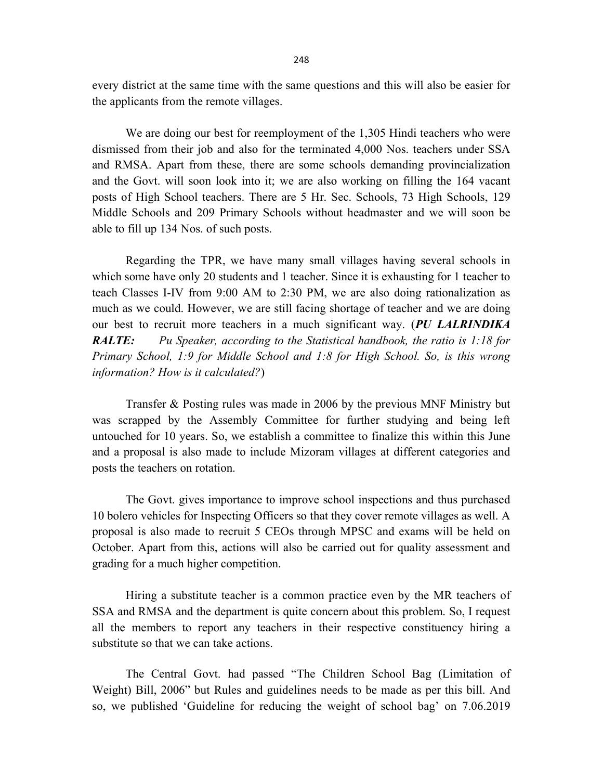every district at the same time with the same questions and this will also be easier for the applicants from the remote villages.

We are doing our best for reemployment of the 1,305 Hindi teachers who were dismissed from their job and also for the terminated 4,000 Nos. teachers under SSA and RMSA. Apart from these, there are some schools demanding provincialization and the Govt. will soon look into it; we are also working on filling the 164 vacant posts of High School teachers. There are 5 Hr. Sec. Schools, 73 High Schools, 129 Middle Schools and 209 Primary Schools without headmaster and we will soon be able to fill up 134 Nos. of such posts.

Regarding the TPR, we have many small villages having several schools in which some have only 20 students and 1 teacher. Since it is exhausting for 1 teacher to teach Classes I-IV from 9:00 AM to 2:30 PM, we are also doing rationalization as much as we could. However, we are still facing shortage of teacher and we are doing our best to recruit more teachers in a much significant way. (PU LALRINDIKA **RALTE:** Pu Speaker, according to the Statistical handbook, the ratio is  $1:18$  for Primary School, 1:9 for Middle School and 1:8 for High School. So, is this wrong information? How is it calculated?)

Transfer & Posting rules was made in 2006 by the previous MNF Ministry but was scrapped by the Assembly Committee for further studying and being left untouched for 10 years. So, we establish a committee to finalize this within this June and a proposal is also made to include Mizoram villages at different categories and posts the teachers on rotation.

The Govt. gives importance to improve school inspections and thus purchased 10 bolero vehicles for Inspecting Officers so that they cover remote villages as well. A proposal is also made to recruit 5 CEOs through MPSC and exams will be held on October. Apart from this, actions will also be carried out for quality assessment and grading for a much higher competition.

Hiring a substitute teacher is a common practice even by the MR teachers of SSA and RMSA and the department is quite concern about this problem. So, I request all the members to report any teachers in their respective constituency hiring a substitute so that we can take actions.

The Central Govt. had passed "The Children School Bag (Limitation of Weight) Bill, 2006" but Rules and guidelines needs to be made as per this bill. And so, we published 'Guideline for reducing the weight of school bag' on 7.06.2019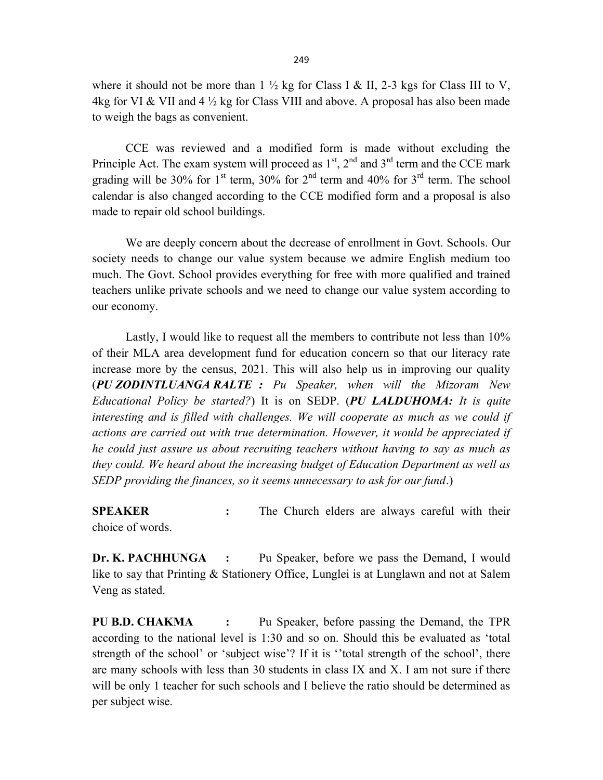where it should not be more than  $1 \frac{1}{2}$  kg for Class I & II, 2-3 kgs for Class III to V, 4kg for VI & VII and 4  $\frac{1}{2}$  kg for Class VIII and above. A proposal has also been made to weigh the bags as convenient.

CCE was reviewed and a modified form is made without excluding the Principle Act. The exam system will proceed as  $1<sup>st</sup>$ ,  $2<sup>nd</sup>$  and  $3<sup>rd</sup>$  term and the CCE mark grading will be 30% for 1<sup>st</sup> term, 30% for 2<sup>nd</sup> term and 40% for 3<sup>rd</sup> term. The school calendar is also changed according to the CCE modified form and a proposal is also made to repair old school buildings.

We are deeply concern about the decrease of enrollment in Govt. Schools. Our society needs to change our value system because we admire English medium too much. The Govt. School provides everything for free with more qualified and trained teachers unlike private schools and we need to change our value system according to our economy.

Lastly, I would like to request all the members to contribute not less than 10% of their MLA area development fund for education concern so that our literacy rate increase more by the census, 2021. This will also help us in improving our quality (PU ZODINTLUANGA RALTE : Pu Speaker, when will the Mizoram New Educational Policy be started?) It is on SEDP. (PU LALDUHOMA: It is quite interesting and is filled with challenges. We will cooperate as much as we could if actions are carried out with true determination. However, it would be appreciated if he could just assure us about recruiting teachers without having to say as much as they could. We heard about the increasing budget of Education Department as well as SEDP providing the finances, so it seems unnecessary to ask for our fund.)

SPEAKER : The Church elders are always careful with their choice of words.

Dr. K. PACHHUNGA : Pu Speaker, before we pass the Demand, I would like to say that Printing & Stationery Office, Lunglei is at Lunglawn and not at Salem Veng as stated.

PU B.D. CHAKMA : Pu Speaker, before passing the Demand, the TPR according to the national level is 1:30 and so on. Should this be evaluated as 'total strength of the school' or 'subject wise'? If it is ''total strength of the school', there are many schools with less than 30 students in class IX and X. I am not sure if there will be only 1 teacher for such schools and I believe the ratio should be determined as per subject wise.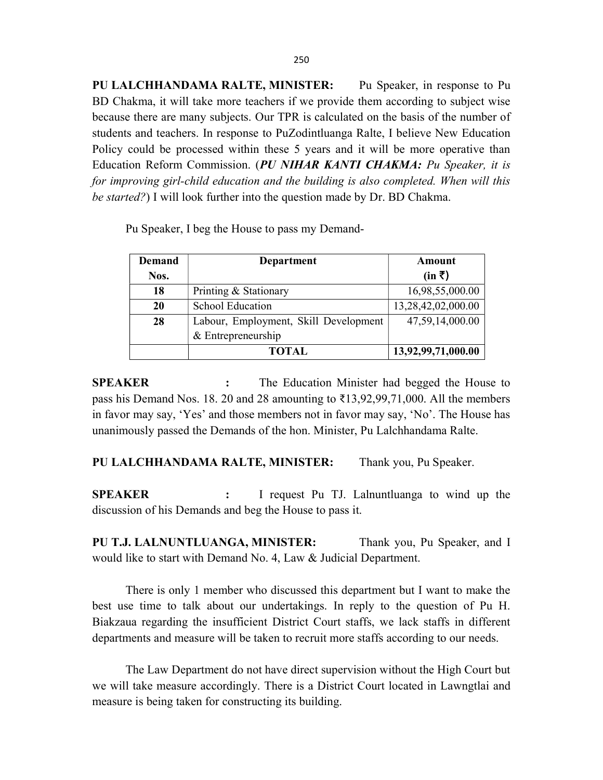PU LALCHHANDAMA RALTE, MINISTER: Pu Speaker, in response to Pu BD Chakma, it will take more teachers if we provide them according to subject wise because there are many subjects. Our TPR is calculated on the basis of the number of students and teachers. In response to PuZodintluanga Ralte, I believe New Education Policy could be processed within these 5 years and it will be more operative than Education Reform Commission. (PU NIHAR KANTI CHAKMA: Pu Speaker, it is for improving girl-child education and the building is also completed. When will this be started?) I will look further into the question made by Dr. BD Chakma.

Demand Nos. Department Amount  $(in \bar{z})$ 18 | Printing & Stationary 16,98,55,000.00 20 School Education 13,28,42,02,000.00 28 Labour, Employment, Skill Development & Entrepreneurship 47,59,14,000.00 TOTAL 13,92,99,71,000.00

Pu Speaker, I beg the House to pass my Demand-

SPEAKER : The Education Minister had begged the House to pass his Demand Nos. 18. 20 and 28 amounting to ₹13,92,99,71,000. All the members in favor may say, 'Yes' and those members not in favor may say, 'No'. The House has unanimously passed the Demands of the hon. Minister, Pu Lalchhandama Ralte.

PU LALCHHANDAMA RALTE, MINISTER: Thank you, Pu Speaker.

SPEAKER : I request Pu TJ. Lalnuntluanga to wind up the discussion of his Demands and beg the House to pass it.

PU T.J. LALNUNTLUANGA, MINISTER: Thank you, Pu Speaker, and I would like to start with Demand No. 4, Law & Judicial Department.

 There is only 1 member who discussed this department but I want to make the best use time to talk about our undertakings. In reply to the question of Pu H. Biakzaua regarding the insufficient District Court staffs, we lack staffs in different departments and measure will be taken to recruit more staffs according to our needs.

The Law Department do not have direct supervision without the High Court but we will take measure accordingly. There is a District Court located in Lawngtlai and measure is being taken for constructing its building.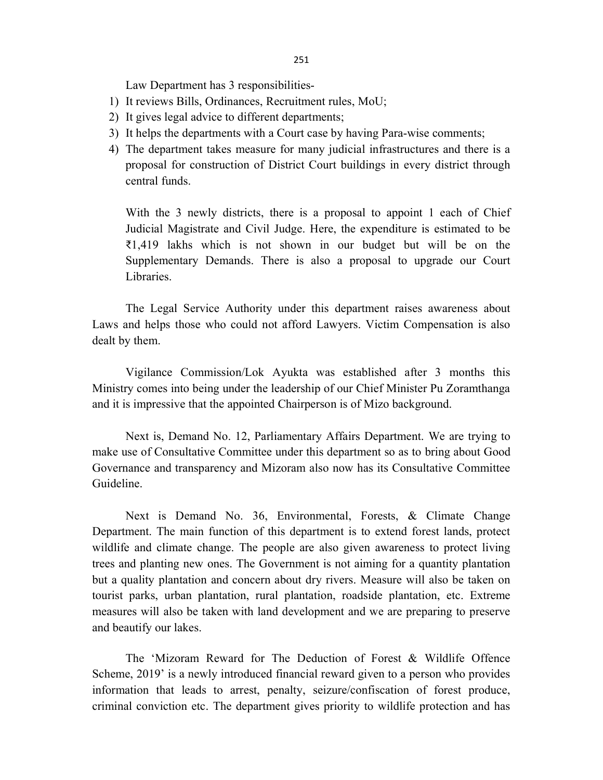Law Department has 3 responsibilities-

- 1) It reviews Bills, Ordinances, Recruitment rules, MoU;
- 2) It gives legal advice to different departments;
- 3) It helps the departments with a Court case by having Para-wise comments;
- 4) The department takes measure for many judicial infrastructures and there is a proposal for construction of District Court buildings in every district through central funds.

With the 3 newly districts, there is a proposal to appoint 1 each of Chief Judicial Magistrate and Civil Judge. Here, the expenditure is estimated to be ₹1,419 lakhs which is not shown in our budget but will be on the Supplementary Demands. There is also a proposal to upgrade our Court Libraries.

 The Legal Service Authority under this department raises awareness about Laws and helps those who could not afford Lawyers. Victim Compensation is also dealt by them.

 Vigilance Commission/Lok Ayukta was established after 3 months this Ministry comes into being under the leadership of our Chief Minister Pu Zoramthanga and it is impressive that the appointed Chairperson is of Mizo background.

Next is, Demand No. 12, Parliamentary Affairs Department. We are trying to make use of Consultative Committee under this department so as to bring about Good Governance and transparency and Mizoram also now has its Consultative Committee Guideline.

 Next is Demand No. 36, Environmental, Forests, & Climate Change Department. The main function of this department is to extend forest lands, protect wildlife and climate change. The people are also given awareness to protect living trees and planting new ones. The Government is not aiming for a quantity plantation but a quality plantation and concern about dry rivers. Measure will also be taken on tourist parks, urban plantation, rural plantation, roadside plantation, etc. Extreme measures will also be taken with land development and we are preparing to preserve and beautify our lakes.

 The 'Mizoram Reward for The Deduction of Forest & Wildlife Offence Scheme, 2019' is a newly introduced financial reward given to a person who provides information that leads to arrest, penalty, seizure/confiscation of forest produce, criminal conviction etc. The department gives priority to wildlife protection and has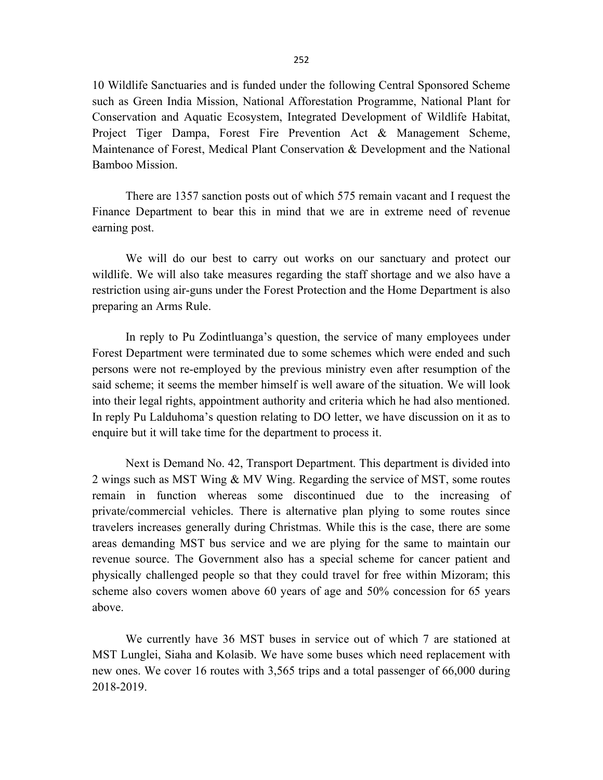10 Wildlife Sanctuaries and is funded under the following Central Sponsored Scheme such as Green India Mission, National Afforestation Programme, National Plant for Conservation and Aquatic Ecosystem, Integrated Development of Wildlife Habitat, Project Tiger Dampa, Forest Fire Prevention Act & Management Scheme, Maintenance of Forest, Medical Plant Conservation & Development and the National Bamboo Mission.

 There are 1357 sanction posts out of which 575 remain vacant and I request the Finance Department to bear this in mind that we are in extreme need of revenue earning post.

 We will do our best to carry out works on our sanctuary and protect our wildlife. We will also take measures regarding the staff shortage and we also have a restriction using air-guns under the Forest Protection and the Home Department is also preparing an Arms Rule.

 In reply to Pu Zodintluanga's question, the service of many employees under Forest Department were terminated due to some schemes which were ended and such persons were not re-employed by the previous ministry even after resumption of the said scheme; it seems the member himself is well aware of the situation. We will look into their legal rights, appointment authority and criteria which he had also mentioned. In reply Pu Lalduhoma's question relating to DO letter, we have discussion on it as to enquire but it will take time for the department to process it.

 Next is Demand No. 42, Transport Department. This department is divided into 2 wings such as MST Wing & MV Wing. Regarding the service of MST, some routes remain in function whereas some discontinued due to the increasing of private/commercial vehicles. There is alternative plan plying to some routes since travelers increases generally during Christmas. While this is the case, there are some areas demanding MST bus service and we are plying for the same to maintain our revenue source. The Government also has a special scheme for cancer patient and physically challenged people so that they could travel for free within Mizoram; this scheme also covers women above 60 years of age and 50% concession for 65 years above.

 We currently have 36 MST buses in service out of which 7 are stationed at MST Lunglei, Siaha and Kolasib. We have some buses which need replacement with new ones. We cover 16 routes with 3,565 trips and a total passenger of 66,000 during 2018-2019.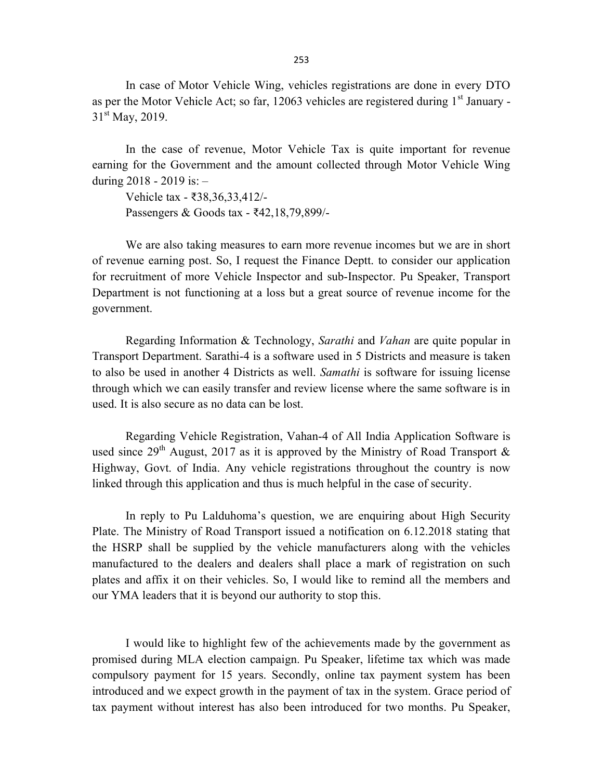In case of Motor Vehicle Wing, vehicles registrations are done in every DTO as per the Motor Vehicle Act; so far, 12063 vehicles are registered during  $1<sup>st</sup>$  January - $31<sup>st</sup>$  May, 2019.

 In the case of revenue, Motor Vehicle Tax is quite important for revenue earning for the Government and the amount collected through Motor Vehicle Wing during 2018 - 2019 is: –

Vehicle tax - ₹38,36,33,412/- Passengers & Goods tax - ₹42,18,79,899/-

 We are also taking measures to earn more revenue incomes but we are in short of revenue earning post. So, I request the Finance Deptt. to consider our application for recruitment of more Vehicle Inspector and sub-Inspector. Pu Speaker, Transport Department is not functioning at a loss but a great source of revenue income for the government.

 Regarding Information & Technology, Sarathi and Vahan are quite popular in Transport Department. Sarathi-4 is a software used in 5 Districts and measure is taken to also be used in another 4 Districts as well. Samathi is software for issuing license through which we can easily transfer and review license where the same software is in used. It is also secure as no data can be lost.

 Regarding Vehicle Registration, Vahan-4 of All India Application Software is used since  $29^{th}$  August, 2017 as it is approved by the Ministry of Road Transport & Highway, Govt. of India. Any vehicle registrations throughout the country is now linked through this application and thus is much helpful in the case of security.

In reply to Pu Lalduhoma's question, we are enquiring about High Security Plate. The Ministry of Road Transport issued a notification on 6.12.2018 stating that the HSRP shall be supplied by the vehicle manufacturers along with the vehicles manufactured to the dealers and dealers shall place a mark of registration on such plates and affix it on their vehicles. So, I would like to remind all the members and our YMA leaders that it is beyond our authority to stop this.

 I would like to highlight few of the achievements made by the government as promised during MLA election campaign. Pu Speaker, lifetime tax which was made compulsory payment for 15 years. Secondly, online tax payment system has been introduced and we expect growth in the payment of tax in the system. Grace period of tax payment without interest has also been introduced for two months. Pu Speaker,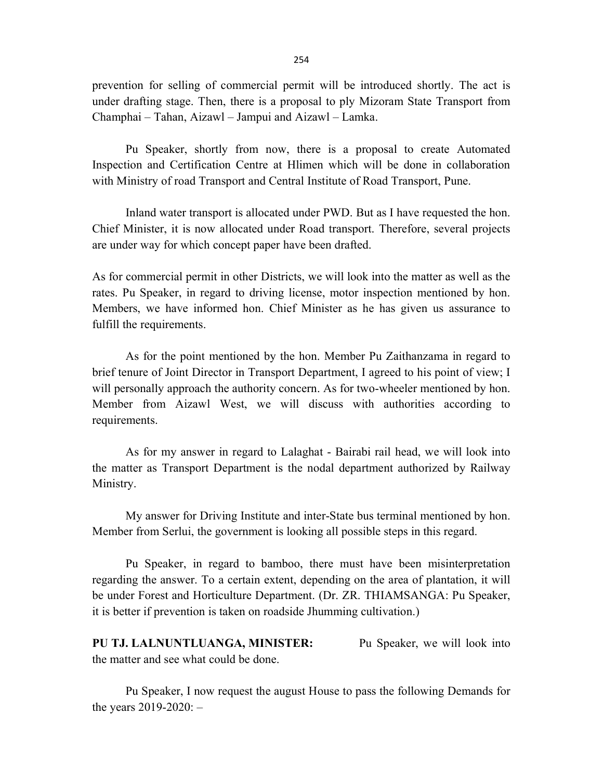prevention for selling of commercial permit will be introduced shortly. The act is under drafting stage. Then, there is a proposal to ply Mizoram State Transport from Champhai – Tahan, Aizawl – Jampui and Aizawl – Lamka.

 Pu Speaker, shortly from now, there is a proposal to create Automated Inspection and Certification Centre at Hlimen which will be done in collaboration with Ministry of road Transport and Central Institute of Road Transport, Pune.

 Inland water transport is allocated under PWD. But as I have requested the hon. Chief Minister, it is now allocated under Road transport. Therefore, several projects are under way for which concept paper have been drafted.

As for commercial permit in other Districts, we will look into the matter as well as the rates. Pu Speaker, in regard to driving license, motor inspection mentioned by hon. Members, we have informed hon. Chief Minister as he has given us assurance to fulfill the requirements.

 As for the point mentioned by the hon. Member Pu Zaithanzama in regard to brief tenure of Joint Director in Transport Department, I agreed to his point of view; I will personally approach the authority concern. As for two-wheeler mentioned by hon. Member from Aizawl West, we will discuss with authorities according to requirements.

 As for my answer in regard to Lalaghat - Bairabi rail head, we will look into the matter as Transport Department is the nodal department authorized by Railway Ministry.

 My answer for Driving Institute and inter-State bus terminal mentioned by hon. Member from Serlui, the government is looking all possible steps in this regard.

 Pu Speaker, in regard to bamboo, there must have been misinterpretation regarding the answer. To a certain extent, depending on the area of plantation, it will be under Forest and Horticulture Department. (Dr. ZR. THIAMSANGA: Pu Speaker, it is better if prevention is taken on roadside Jhumming cultivation.)

PU TJ. LALNUNTLUANGA, MINISTER: Pu Speaker, we will look into the matter and see what could be done.

 Pu Speaker, I now request the august House to pass the following Demands for the years 2019-2020: –